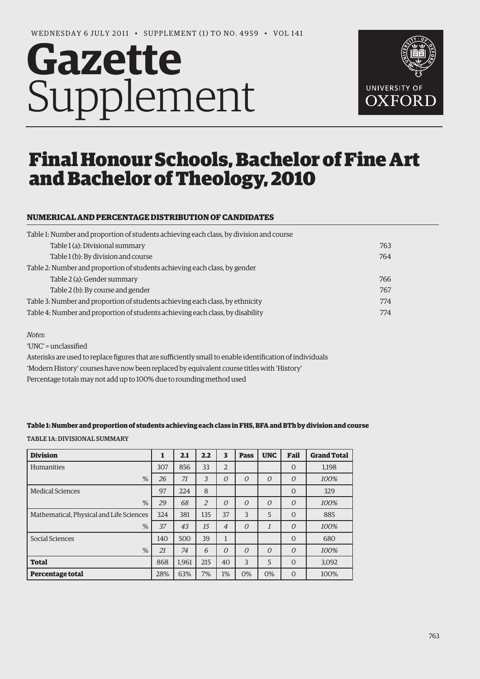# **Gazette** Supplement



# Final Honour Schools, Bachelor of Fine Art and Bachelor of Theology, 2010

# **NUMERICAL AND PERCENTAGE DISTRIBUTION OF CANDIDATES**

| 763 |
|-----|
| 764 |
|     |
| 766 |
| 767 |
| 774 |
| 774 |
|     |

#### *Notes*:

'UNC' = unclassified

Asterisks are used to replace figures that are sufficiently small to enable identification of individuals 'Modern History' courses have now been replaced by equivalent course titles with 'History' Percentage totals may not add up to 100% due to rounding method used

#### **Table 1: Number and proportion of students achieving each class in FHS, BFA and BTh by division and course**

Table 1a: Divisional Summary

| <b>Division</b>                          |     | 2.1   | 2.2            | 3              | <b>Pass</b> | <b>UNC</b>     | Fail           | <b>Grand Total</b> |
|------------------------------------------|-----|-------|----------------|----------------|-------------|----------------|----------------|--------------------|
| Humanities                               | 307 | 856   | 33             | $\overline{2}$ |             |                | $\Omega$       | 1,198              |
| %                                        | 26  | 71    | 3              | $\overline{O}$ | $\Omega$    | $\Omega$       | $\overline{O}$ | 100%               |
| <b>Medical Sciences</b>                  | 97  | 224   | 8              |                |             |                | $\Omega$       | 329                |
| $\%$                                     | 29  | 68    | $\overline{2}$ | $\overline{O}$ | $\Omega$    | $\overline{O}$ | $\overline{O}$ | 100%               |
| Mathematical, Physical and Life Sciences | 324 | 381   | 135            | 37             | 3           | 5              | $\Omega$       | 885                |
| %                                        | 37  | 43    | 15             | $\overline{4}$ | $\Omega$    | $\mathcal{I}$  | $\overline{O}$ | 100%               |
| Social Sciences                          | 140 | 500   | 39             | 1              |             |                | $\Omega$       | 680                |
| $\%$                                     | 21  | 74    | 6              | $\overline{O}$ | $\Omega$    | $\overline{O}$ | $\overline{O}$ | 100%               |
| <b>Total</b>                             | 868 | 1.961 | 215            | 40             | 3           | 5              | $\Omega$       | 3,092              |
| Percentage total                         | 28% | 63%   | 7%             | 1%             | 0%          | 0%             | $\Omega$       | 100%               |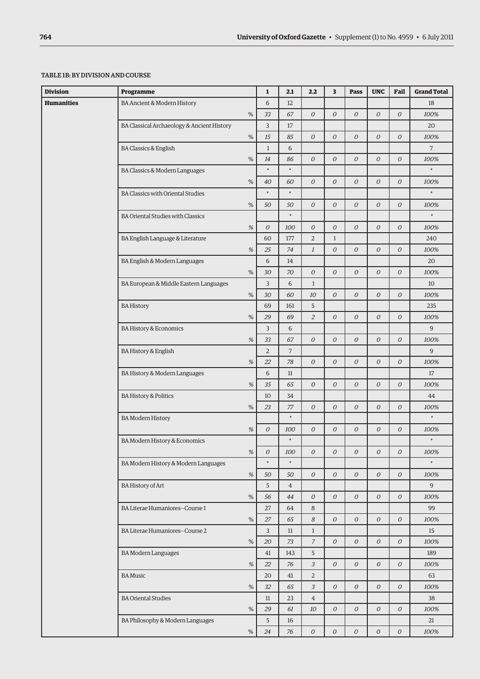#### Table 1b: By division and course

| <b>Division</b> | Programme                                  |                              | $\mathbf{1}$         | 2.1                  | 2.2              | 3                | <b>Pass</b>    | <b>UNC</b>       | Fail             | <b>Grand Total</b> |
|-----------------|--------------------------------------------|------------------------------|----------------------|----------------------|------------------|------------------|----------------|------------------|------------------|--------------------|
| Humanities      | BA Ancient & Modern History                |                              | 6                    | 12                   |                  |                  |                |                  |                  | 18                 |
|                 |                                            | $\%$                         | 33                   | 67                   | $\overline{O}$   | $\overline{O}$   | 0              | $\boldsymbol{O}$ | $\boldsymbol{O}$ | 100%               |
|                 | BA Classical Archaeology & Ancient History |                              | 3                    | 17                   |                  |                  |                |                  |                  | 20                 |
|                 |                                            | $\%$                         | 15                   | 85                   | $\overline{O}$   | $\overline{O}$   | 0              | $\overline{O}$   | $\overline{O}$   | 100%               |
|                 | <b>BA Classics &amp; English</b>           |                              | $\mathbf{1}$         | 6                    |                  |                  |                |                  |                  | 7                  |
|                 |                                            | %                            | 14                   | 86                   | $\overline{O}$   | $\overline{O}$   | 0              | $\overline{O}$   | $\mathcal O$     | 100%               |
|                 | BA Classics & Modern Languages             |                              | $\ast$               | $\ast$               |                  |                  |                |                  |                  | $\ast$             |
|                 |                                            | $\%$                         | 40                   | 60                   | $\overline{O}$   | $\overline{O}$   | 0              | $\boldsymbol{O}$ | 0                | 100%               |
|                 | <b>BA Classics with Oriental Studies</b>   |                              | $\ast$               | $\ast$               |                  |                  |                |                  |                  | $\ast$             |
|                 |                                            | $\%$                         | 50                   | 50                   | $\overline{O}$   | $\overline{O}$   | 0              | $\overline{O}$   | $\mathcal O$     | 100%               |
|                 | <b>BA Oriental Studies with Classics</b>   |                              |                      | $\ast$               |                  |                  |                |                  |                  | $\ast$             |
|                 |                                            | %                            | $\boldsymbol{O}$     | 100                  | $\boldsymbol{O}$ | $\overline{O}$   | $\overline{O}$ | 0                | $\boldsymbol{O}$ | 100%               |
|                 | BA English Language & Literature           |                              | 60                   | 177                  | $\overline{2}$   | $\mathbf{1}$     |                |                  |                  | 240                |
|                 |                                            | $% \mathcal{A}_{\mathrm{d}}$ | 25                   | 74                   | $\mathfrak{1}$   | $\boldsymbol{O}$ | 0              | 0                | $\boldsymbol{O}$ | 100%               |
|                 | BA English & Modern Languages              |                              | 6                    | 14                   |                  |                  |                |                  |                  | 20                 |
|                 |                                            | %                            | 30                   | 70                   | $\mathcal{O}$    | $\overline{O}$   | 0              | 0                | $\overline{O}$   | 100%               |
|                 | BA European & Middle Eastern Languages     |                              | 3                    | 6                    | $\mathbf{1}$     |                  |                |                  |                  | 10                 |
|                 |                                            | $\%$                         | 30                   | 60                   | 10               | $\overline{O}$   | 0              | $\mathcal O$     | $\mathcal O$     | 100%               |
|                 | <b>BA History</b>                          |                              | 69                   | 161                  | 5                |                  |                |                  |                  | 235                |
|                 |                                            | $\%$                         | 29                   | 69                   | $\overline{2}$   | $\boldsymbol{O}$ | 0              | $\boldsymbol{O}$ | 0                | 100%               |
|                 | <b>BA History &amp; Economics</b>          |                              | 3                    | 6                    |                  |                  |                |                  |                  | 9                  |
|                 |                                            | %                            | 33                   | 67                   | $\overline{O}$   | $\overline{O}$   | $\overline{O}$ | $\overline{O}$   | $\overline{O}$   | 100%               |
|                 | <b>BA History &amp; English</b>            |                              | 2                    | 7                    |                  |                  |                |                  |                  | 9                  |
|                 |                                            | %                            | 22                   | 78                   | $\boldsymbol{O}$ | $\overline{O}$   | 0              | $\overline{O}$   | $\boldsymbol{O}$ | 100%               |
|                 | BA History & Modern Languages              |                              | 6                    | 11                   |                  |                  |                |                  |                  | 17                 |
|                 |                                            | $% \mathcal{A}_{\mathrm{d}}$ | 35                   | 65                   | $\boldsymbol{O}$ | $\boldsymbol{O}$ | 0              | 0                | 0                | 100%               |
|                 | <b>BA History &amp; Politics</b>           |                              | 10                   | 34                   |                  |                  |                |                  |                  | 44                 |
|                 |                                            | $\%$                         | 23                   | 77                   | $\overline{O}$   | $\overline{O}$   | 0              | $\overline{O}$   | $\overline{O}$   | 100%               |
|                 | <b>BA</b> Modern History                   |                              |                      | $\ast$               |                  |                  |                |                  |                  | $\ast$             |
|                 |                                            | %                            | 0                    | 100<br>$\ast$        | $\boldsymbol{O}$ | $\mathcal O$     | 0              | 0                | 0                | 100%<br>$\ast$     |
|                 | BA Modern History & Economics              |                              |                      |                      |                  |                  |                |                  |                  |                    |
|                 |                                            | $% \mathcal{A}_{\mathrm{d}}$ | ${\cal O}$<br>$\ast$ | 100<br>$\ast$        | 0                | $\boldsymbol{O}$ | 0              | 0                | 0                | 100%<br>$\ast$     |
|                 | BA Modern History & Modern Languages       |                              |                      |                      |                  |                  |                |                  |                  |                    |
|                 | <b>BA History of Art</b>                   | %                            | 50<br>5              | 50                   | $\overline{O}$   | $\overline{O}$   | 0              | $\overline{O}$   | $\overline{0}$   | 100%<br>9          |
|                 |                                            | %                            | 56                   | $\overline{4}$<br>44 | $\boldsymbol{O}$ | $\mathcal O$     | 0              | 0                | 0                | 100%               |
|                 | BA Literae Humaniores-Course 1             |                              | 27                   | 64                   | 8                |                  |                |                  |                  | 99                 |
|                 |                                            | $\%$                         | 27                   | 65                   | 8                | $\mathcal O$     | 0              | 0                | 0                | 100%               |
|                 | BA Literae Humaniores-Course 2             |                              | 3                    | 11                   | $\mathbf{1}$     |                  |                |                  |                  | 15                 |
|                 |                                            | %                            | 20                   | 73                   | $\overline{z}$   | $\mathcal{O}$    | 0              | 0                | 0                | 100%               |
|                 | <b>BA Modern Languages</b>                 |                              | 41                   | 143                  | 5                |                  |                |                  |                  | 189                |
|                 |                                            | $% \mathcal{A}_{\mathrm{d}}$ | 22                   | 76                   | $\mathfrak{Z}$   | $\mathcal O$     | 0              | 0                | 0                | 100%               |
|                 | <b>BA</b> Music                            |                              | 20                   | 41                   | $\overline{2}$   |                  |                |                  |                  | 63                 |
|                 |                                            | %                            | 32                   | 65                   | $\mathfrak{Z}$   | $\mathcal{O}$    | $\mathcal{O}$  | $\mathcal{O}$    | 0                | 100%               |
|                 | <b>BA Oriental Studies</b>                 |                              | 11                   | 23                   | $\overline{4}$   |                  |                |                  |                  | 38                 |
|                 |                                            | $\%$                         | 29                   | 61                   | 10               | $\mathcal O$     | 0              | 0                | 0                | 100%               |
|                 | BA Philosophy & Modern Languages           |                              | 5                    | 16                   |                  |                  |                |                  |                  | 21                 |
|                 |                                            | $\%$                         | 24                   | 76                   | $\mathcal O$     | $\mathcal O$     | $\mathcal O$   | 0                | $\mathcal O$     | 100%               |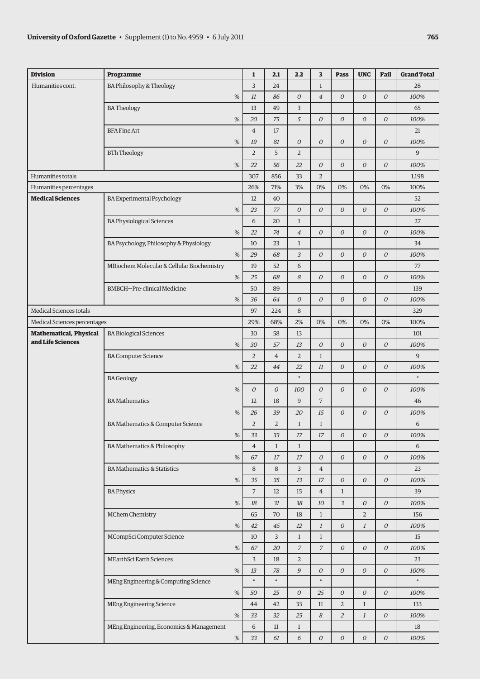| Humanities cont.<br><b>BA Philosophy &amp; Theology</b><br>3<br>24<br>$\mathbf{1}$<br>28<br>%<br>11<br>86<br>$\mathcal O$<br>$\overline{4}$<br>0<br>$\boldsymbol{O}$<br>$\mathcal O$<br>100%<br>3<br><b>BATheology</b><br>13<br>49<br>65<br>5<br>%<br>$\overline{O}$<br>$\overline{O}$<br>$\boldsymbol{O}$<br>$\overline{O}$<br>20<br>75<br>100%<br><b>BFA Fine Art</b><br>$\overline{4}$<br>17<br>21<br>%<br>19<br>81<br>$\mathcal O$<br>$\overline{O}$<br>$\overline{O}$<br>$\boldsymbol{O}$<br>$\mathcal O$<br>100%<br>5<br>$\overline{2}$<br>$\overline{2}$<br>9<br><b>BTh Theology</b><br>%<br>22<br>56<br>22<br>$\mathcal O$<br>$\boldsymbol{O}$<br>$\boldsymbol{O}$<br>0<br>100%<br>$\overline{2}$<br>Humanities totals<br>307<br>856<br>33<br>1,198<br>26%<br>71%<br>3%<br>0%<br>0%<br>0%<br>0%<br>100%<br>Humanities percentages<br><b>Medical Sciences</b><br><b>BA Experimental Psychology</b><br>12<br>40<br>52<br>$\mathcal{O}$<br>$\overline{O}$<br>$\overline{O}$<br>%<br>23<br>77<br>$\overline{O}$<br>$\overline{O}$<br>100%<br><b>BA Physiological Sciences</b><br>6<br>20<br>$\mathbf{1}$<br>27<br>%<br>22<br>$\overline{4}$<br>$\mathcal O$<br>$\boldsymbol{O}$<br>$\boldsymbol{O}$<br>$\overline{O}$<br>100%<br>74<br>BA Psychology, Philosophy & Physiology<br>$\mathbf{1}$<br>34<br>10<br>23<br>3<br>$\cal O$<br>$\overline{O}$<br>%<br>68<br>$\overline{O}$<br>$\overline{O}$<br>29<br>100%<br>MBiochem Molecular & Cellular Biochemistry<br>19<br>6<br>52<br>77<br>%<br>25<br>68<br>8<br>$\overline{O}$<br>$\boldsymbol{O}$<br>$\overline{O}$<br>$\mathcal O$<br>100%<br>BMBCH-Pre-clinical Medicine<br>50<br>89<br>139<br>%<br>$\boldsymbol{O}$<br>$\overline{O}$<br>$\boldsymbol{O}$<br>$\overline{O}$<br>$\overline{O}$<br>100%<br>36<br>64<br>Medical Sciences totals<br>97<br>8<br>329<br>224<br>2%<br>0%<br>29%<br>68%<br>0%<br>0%<br>0%<br>100%<br>Medical Sciences percentages<br><b>Mathematical, Physical</b><br><b>BA Biological Sciences</b><br>30<br>58<br>13<br>101<br>and Life Sciences<br>%<br>13<br>$\mathcal O$<br>0<br>$\overline{O}$<br>$\overline{O}$<br>100%<br>30<br>57<br>$\overline{2}$<br>$\overline{2}$<br>9<br><b>BA Computer Science</b><br>$\overline{4}$<br>$\mathbf{1}$<br>22<br>$\overline{O}$<br>$\overline{O}$<br>$\boldsymbol{O}$<br>%<br>22<br>44<br>11<br>100%<br>$\ast$<br>$\ast$<br><b>BA</b> Geology<br>%<br>$\overline{O}$<br>$\overline{O}$<br>100<br>$\overline{O}$<br>$\overline{O}$<br>$\overline{O}$<br>$\overline{O}$<br>100%<br>$\overline{7}$<br>9<br><b>BA Mathematics</b><br>12<br>18<br>46<br>%<br>39<br>20<br>15<br>$\boldsymbol{O}$<br>$\boldsymbol{O}$<br>$\boldsymbol{O}$<br>100%<br>26<br>$\overline{2}$<br>$\overline{2}$<br>$\mathbf{1}$<br>$\mathbf{1}$<br>6<br>BA Mathematics & Computer Science<br>$\%$<br>33<br>$\boldsymbol{O}$<br>$\boldsymbol{O}$<br>$\mathcal O$<br>100%<br>33<br>17<br>17<br><b>BA Mathematics &amp; Philosophy</b><br>$\overline{4}$<br>$\mathbf{1}$<br>$\mathbf{1}$<br>6<br>$\%$<br>67<br>17<br>17<br>$\overline{O}$<br>$\overline{O}$<br>0<br>$\overline{0}$<br>100%<br><b>BA Mathematics &amp; Statistics</b><br>8<br>3<br>8<br>$\overline{4}$<br>23<br>$\%$<br>35<br>13<br>${\cal O}$<br>$\mathcal O$<br>$\mathcal O$<br>100%<br>35<br>17<br>$\overline{7}$<br><b>BA Physics</b><br>12<br>15<br>$\overline{4}$<br>$\mathbf{1}$<br>39<br>3<br>$\%$<br>18<br>31<br>38<br>10<br>$\mathcal O$<br>$\mathcal O$<br>100%<br>MChem Chemistry<br>$\overline{2}$<br>65<br>70<br>18<br>$\mathbf{1}$<br>156<br>$\%$<br>42<br>45<br>$12\,$<br>$\mathbf{1}$<br>$\mathcal O$<br>$\mathbf{1}$<br>$\mathcal O$<br>100%<br>MCompSci Computer Science<br>3<br>10<br>$\mathbf{1}$<br>$\mathbf{1}$<br>15<br>$\%$<br>20<br>$\overline{z}$<br>$\mathcal{I}$<br>$\mathcal O$<br>$\mathcal O$<br>$\mathcal O$<br>100%<br>67<br>$\overline{3}$<br>$\overline{2}$<br>MEarthSci Earth Sciences<br>18<br>23<br>9<br>$\%$<br>78<br>$\mathcal O$<br>0<br>$\mathcal O$<br>$\mathcal O$<br>13<br>100%<br>$\ast$<br>$\ast$<br>$\ast$<br>$\ast$<br>MEng Engineering & Computing Science<br>$\%$<br>25<br>$\mathcal{O}$<br>25<br>0<br>$\overline{O}$<br>$\overline{O}$<br>50<br>100%<br>MEng Engineering Science<br>$\overline{a}$<br>44<br>42<br>33<br>11<br>$\mathbf{1}$<br>133<br>$\%$<br>32<br>25<br>$\boldsymbol{8}$<br>$\overline{2}$<br>$\mathcal O$<br>100%<br>33<br>$\mathbf{1}$<br>6<br>MEng Engineering, Economics & Management<br>11<br>$\mathbf{1}$<br>18<br>$\%$<br>61<br>6<br>$\mathcal O$<br>0<br>$\mathcal O$<br>$\mathcal O$<br>33<br>100% | <b>Division</b> | Programme | $\mathbf{1}$ | 2.1 | 2.2 | 3 | <b>Pass</b> | <b>UNC</b> | Fail | <b>Grand Total</b> |
|---------------------------------------------------------------------------------------------------------------------------------------------------------------------------------------------------------------------------------------------------------------------------------------------------------------------------------------------------------------------------------------------------------------------------------------------------------------------------------------------------------------------------------------------------------------------------------------------------------------------------------------------------------------------------------------------------------------------------------------------------------------------------------------------------------------------------------------------------------------------------------------------------------------------------------------------------------------------------------------------------------------------------------------------------------------------------------------------------------------------------------------------------------------------------------------------------------------------------------------------------------------------------------------------------------------------------------------------------------------------------------------------------------------------------------------------------------------------------------------------------------------------------------------------------------------------------------------------------------------------------------------------------------------------------------------------------------------------------------------------------------------------------------------------------------------------------------------------------------------------------------------------------------------------------------------------------------------------------------------------------------------------------------------------------------------------------------------------------------------------------------------------------------------------------------------------------------------------------------------------------------------------------------------------------------------------------------------------------------------------------------------------------------------------------------------------------------------------------------------------------------------------------------------------------------------------------------------------------------------------------------------------------------------------------------------------------------------------------------------------------------------------------------------------------------------------------------------------------------------------------------------------------------------------------------------------------------------------------------------------------------------------------------------------------------------------------------------------------------------------------------------------------------------------------------------------------------------------------------------------------------------------------------------------------------------------------------------------------------------------------------------------------------------------------------------------------------------------------------------------------------------------------------------------------------------------------------------------------------------------------------------------------------------------------------------------------------------------------------------------------------------------------------------------------------------------------------------------------------------------------------------------------------------------------------------------------------------------------------------------------------------------------------------------------------------------------------------------------------------------------------------------------------------------------------------------------------------------------------------------------------------------------------------------------------------------------------------------------------------------------------------------------------------------------------------------------------------------------------------------------------------------------------------------|-----------------|-----------|--------------|-----|-----|---|-------------|------------|------|--------------------|
|                                                                                                                                                                                                                                                                                                                                                                                                                                                                                                                                                                                                                                                                                                                                                                                                                                                                                                                                                                                                                                                                                                                                                                                                                                                                                                                                                                                                                                                                                                                                                                                                                                                                                                                                                                                                                                                                                                                                                                                                                                                                                                                                                                                                                                                                                                                                                                                                                                                                                                                                                                                                                                                                                                                                                                                                                                                                                                                                                                                                                                                                                                                                                                                                                                                                                                                                                                                                                                                                                                                                                                                                                                                                                                                                                                                                                                                                                                                                                                                                                                                                                                                                                                                                                                                                                                                                                                                                                                                                                                                                             |                 |           |              |     |     |   |             |            |      |                    |
|                                                                                                                                                                                                                                                                                                                                                                                                                                                                                                                                                                                                                                                                                                                                                                                                                                                                                                                                                                                                                                                                                                                                                                                                                                                                                                                                                                                                                                                                                                                                                                                                                                                                                                                                                                                                                                                                                                                                                                                                                                                                                                                                                                                                                                                                                                                                                                                                                                                                                                                                                                                                                                                                                                                                                                                                                                                                                                                                                                                                                                                                                                                                                                                                                                                                                                                                                                                                                                                                                                                                                                                                                                                                                                                                                                                                                                                                                                                                                                                                                                                                                                                                                                                                                                                                                                                                                                                                                                                                                                                                             |                 |           |              |     |     |   |             |            |      |                    |
|                                                                                                                                                                                                                                                                                                                                                                                                                                                                                                                                                                                                                                                                                                                                                                                                                                                                                                                                                                                                                                                                                                                                                                                                                                                                                                                                                                                                                                                                                                                                                                                                                                                                                                                                                                                                                                                                                                                                                                                                                                                                                                                                                                                                                                                                                                                                                                                                                                                                                                                                                                                                                                                                                                                                                                                                                                                                                                                                                                                                                                                                                                                                                                                                                                                                                                                                                                                                                                                                                                                                                                                                                                                                                                                                                                                                                                                                                                                                                                                                                                                                                                                                                                                                                                                                                                                                                                                                                                                                                                                                             |                 |           |              |     |     |   |             |            |      |                    |
|                                                                                                                                                                                                                                                                                                                                                                                                                                                                                                                                                                                                                                                                                                                                                                                                                                                                                                                                                                                                                                                                                                                                                                                                                                                                                                                                                                                                                                                                                                                                                                                                                                                                                                                                                                                                                                                                                                                                                                                                                                                                                                                                                                                                                                                                                                                                                                                                                                                                                                                                                                                                                                                                                                                                                                                                                                                                                                                                                                                                                                                                                                                                                                                                                                                                                                                                                                                                                                                                                                                                                                                                                                                                                                                                                                                                                                                                                                                                                                                                                                                                                                                                                                                                                                                                                                                                                                                                                                                                                                                                             |                 |           |              |     |     |   |             |            |      |                    |
|                                                                                                                                                                                                                                                                                                                                                                                                                                                                                                                                                                                                                                                                                                                                                                                                                                                                                                                                                                                                                                                                                                                                                                                                                                                                                                                                                                                                                                                                                                                                                                                                                                                                                                                                                                                                                                                                                                                                                                                                                                                                                                                                                                                                                                                                                                                                                                                                                                                                                                                                                                                                                                                                                                                                                                                                                                                                                                                                                                                                                                                                                                                                                                                                                                                                                                                                                                                                                                                                                                                                                                                                                                                                                                                                                                                                                                                                                                                                                                                                                                                                                                                                                                                                                                                                                                                                                                                                                                                                                                                                             |                 |           |              |     |     |   |             |            |      |                    |
|                                                                                                                                                                                                                                                                                                                                                                                                                                                                                                                                                                                                                                                                                                                                                                                                                                                                                                                                                                                                                                                                                                                                                                                                                                                                                                                                                                                                                                                                                                                                                                                                                                                                                                                                                                                                                                                                                                                                                                                                                                                                                                                                                                                                                                                                                                                                                                                                                                                                                                                                                                                                                                                                                                                                                                                                                                                                                                                                                                                                                                                                                                                                                                                                                                                                                                                                                                                                                                                                                                                                                                                                                                                                                                                                                                                                                                                                                                                                                                                                                                                                                                                                                                                                                                                                                                                                                                                                                                                                                                                                             |                 |           |              |     |     |   |             |            |      |                    |
|                                                                                                                                                                                                                                                                                                                                                                                                                                                                                                                                                                                                                                                                                                                                                                                                                                                                                                                                                                                                                                                                                                                                                                                                                                                                                                                                                                                                                                                                                                                                                                                                                                                                                                                                                                                                                                                                                                                                                                                                                                                                                                                                                                                                                                                                                                                                                                                                                                                                                                                                                                                                                                                                                                                                                                                                                                                                                                                                                                                                                                                                                                                                                                                                                                                                                                                                                                                                                                                                                                                                                                                                                                                                                                                                                                                                                                                                                                                                                                                                                                                                                                                                                                                                                                                                                                                                                                                                                                                                                                                                             |                 |           |              |     |     |   |             |            |      |                    |
|                                                                                                                                                                                                                                                                                                                                                                                                                                                                                                                                                                                                                                                                                                                                                                                                                                                                                                                                                                                                                                                                                                                                                                                                                                                                                                                                                                                                                                                                                                                                                                                                                                                                                                                                                                                                                                                                                                                                                                                                                                                                                                                                                                                                                                                                                                                                                                                                                                                                                                                                                                                                                                                                                                                                                                                                                                                                                                                                                                                                                                                                                                                                                                                                                                                                                                                                                                                                                                                                                                                                                                                                                                                                                                                                                                                                                                                                                                                                                                                                                                                                                                                                                                                                                                                                                                                                                                                                                                                                                                                                             |                 |           |              |     |     |   |             |            |      |                    |
|                                                                                                                                                                                                                                                                                                                                                                                                                                                                                                                                                                                                                                                                                                                                                                                                                                                                                                                                                                                                                                                                                                                                                                                                                                                                                                                                                                                                                                                                                                                                                                                                                                                                                                                                                                                                                                                                                                                                                                                                                                                                                                                                                                                                                                                                                                                                                                                                                                                                                                                                                                                                                                                                                                                                                                                                                                                                                                                                                                                                                                                                                                                                                                                                                                                                                                                                                                                                                                                                                                                                                                                                                                                                                                                                                                                                                                                                                                                                                                                                                                                                                                                                                                                                                                                                                                                                                                                                                                                                                                                                             |                 |           |              |     |     |   |             |            |      |                    |
|                                                                                                                                                                                                                                                                                                                                                                                                                                                                                                                                                                                                                                                                                                                                                                                                                                                                                                                                                                                                                                                                                                                                                                                                                                                                                                                                                                                                                                                                                                                                                                                                                                                                                                                                                                                                                                                                                                                                                                                                                                                                                                                                                                                                                                                                                                                                                                                                                                                                                                                                                                                                                                                                                                                                                                                                                                                                                                                                                                                                                                                                                                                                                                                                                                                                                                                                                                                                                                                                                                                                                                                                                                                                                                                                                                                                                                                                                                                                                                                                                                                                                                                                                                                                                                                                                                                                                                                                                                                                                                                                             |                 |           |              |     |     |   |             |            |      |                    |
|                                                                                                                                                                                                                                                                                                                                                                                                                                                                                                                                                                                                                                                                                                                                                                                                                                                                                                                                                                                                                                                                                                                                                                                                                                                                                                                                                                                                                                                                                                                                                                                                                                                                                                                                                                                                                                                                                                                                                                                                                                                                                                                                                                                                                                                                                                                                                                                                                                                                                                                                                                                                                                                                                                                                                                                                                                                                                                                                                                                                                                                                                                                                                                                                                                                                                                                                                                                                                                                                                                                                                                                                                                                                                                                                                                                                                                                                                                                                                                                                                                                                                                                                                                                                                                                                                                                                                                                                                                                                                                                                             |                 |           |              |     |     |   |             |            |      |                    |
|                                                                                                                                                                                                                                                                                                                                                                                                                                                                                                                                                                                                                                                                                                                                                                                                                                                                                                                                                                                                                                                                                                                                                                                                                                                                                                                                                                                                                                                                                                                                                                                                                                                                                                                                                                                                                                                                                                                                                                                                                                                                                                                                                                                                                                                                                                                                                                                                                                                                                                                                                                                                                                                                                                                                                                                                                                                                                                                                                                                                                                                                                                                                                                                                                                                                                                                                                                                                                                                                                                                                                                                                                                                                                                                                                                                                                                                                                                                                                                                                                                                                                                                                                                                                                                                                                                                                                                                                                                                                                                                                             |                 |           |              |     |     |   |             |            |      |                    |
|                                                                                                                                                                                                                                                                                                                                                                                                                                                                                                                                                                                                                                                                                                                                                                                                                                                                                                                                                                                                                                                                                                                                                                                                                                                                                                                                                                                                                                                                                                                                                                                                                                                                                                                                                                                                                                                                                                                                                                                                                                                                                                                                                                                                                                                                                                                                                                                                                                                                                                                                                                                                                                                                                                                                                                                                                                                                                                                                                                                                                                                                                                                                                                                                                                                                                                                                                                                                                                                                                                                                                                                                                                                                                                                                                                                                                                                                                                                                                                                                                                                                                                                                                                                                                                                                                                                                                                                                                                                                                                                                             |                 |           |              |     |     |   |             |            |      |                    |
|                                                                                                                                                                                                                                                                                                                                                                                                                                                                                                                                                                                                                                                                                                                                                                                                                                                                                                                                                                                                                                                                                                                                                                                                                                                                                                                                                                                                                                                                                                                                                                                                                                                                                                                                                                                                                                                                                                                                                                                                                                                                                                                                                                                                                                                                                                                                                                                                                                                                                                                                                                                                                                                                                                                                                                                                                                                                                                                                                                                                                                                                                                                                                                                                                                                                                                                                                                                                                                                                                                                                                                                                                                                                                                                                                                                                                                                                                                                                                                                                                                                                                                                                                                                                                                                                                                                                                                                                                                                                                                                                             |                 |           |              |     |     |   |             |            |      |                    |
|                                                                                                                                                                                                                                                                                                                                                                                                                                                                                                                                                                                                                                                                                                                                                                                                                                                                                                                                                                                                                                                                                                                                                                                                                                                                                                                                                                                                                                                                                                                                                                                                                                                                                                                                                                                                                                                                                                                                                                                                                                                                                                                                                                                                                                                                                                                                                                                                                                                                                                                                                                                                                                                                                                                                                                                                                                                                                                                                                                                                                                                                                                                                                                                                                                                                                                                                                                                                                                                                                                                                                                                                                                                                                                                                                                                                                                                                                                                                                                                                                                                                                                                                                                                                                                                                                                                                                                                                                                                                                                                                             |                 |           |              |     |     |   |             |            |      |                    |
|                                                                                                                                                                                                                                                                                                                                                                                                                                                                                                                                                                                                                                                                                                                                                                                                                                                                                                                                                                                                                                                                                                                                                                                                                                                                                                                                                                                                                                                                                                                                                                                                                                                                                                                                                                                                                                                                                                                                                                                                                                                                                                                                                                                                                                                                                                                                                                                                                                                                                                                                                                                                                                                                                                                                                                                                                                                                                                                                                                                                                                                                                                                                                                                                                                                                                                                                                                                                                                                                                                                                                                                                                                                                                                                                                                                                                                                                                                                                                                                                                                                                                                                                                                                                                                                                                                                                                                                                                                                                                                                                             |                 |           |              |     |     |   |             |            |      |                    |
|                                                                                                                                                                                                                                                                                                                                                                                                                                                                                                                                                                                                                                                                                                                                                                                                                                                                                                                                                                                                                                                                                                                                                                                                                                                                                                                                                                                                                                                                                                                                                                                                                                                                                                                                                                                                                                                                                                                                                                                                                                                                                                                                                                                                                                                                                                                                                                                                                                                                                                                                                                                                                                                                                                                                                                                                                                                                                                                                                                                                                                                                                                                                                                                                                                                                                                                                                                                                                                                                                                                                                                                                                                                                                                                                                                                                                                                                                                                                                                                                                                                                                                                                                                                                                                                                                                                                                                                                                                                                                                                                             |                 |           |              |     |     |   |             |            |      |                    |
|                                                                                                                                                                                                                                                                                                                                                                                                                                                                                                                                                                                                                                                                                                                                                                                                                                                                                                                                                                                                                                                                                                                                                                                                                                                                                                                                                                                                                                                                                                                                                                                                                                                                                                                                                                                                                                                                                                                                                                                                                                                                                                                                                                                                                                                                                                                                                                                                                                                                                                                                                                                                                                                                                                                                                                                                                                                                                                                                                                                                                                                                                                                                                                                                                                                                                                                                                                                                                                                                                                                                                                                                                                                                                                                                                                                                                                                                                                                                                                                                                                                                                                                                                                                                                                                                                                                                                                                                                                                                                                                                             |                 |           |              |     |     |   |             |            |      |                    |
|                                                                                                                                                                                                                                                                                                                                                                                                                                                                                                                                                                                                                                                                                                                                                                                                                                                                                                                                                                                                                                                                                                                                                                                                                                                                                                                                                                                                                                                                                                                                                                                                                                                                                                                                                                                                                                                                                                                                                                                                                                                                                                                                                                                                                                                                                                                                                                                                                                                                                                                                                                                                                                                                                                                                                                                                                                                                                                                                                                                                                                                                                                                                                                                                                                                                                                                                                                                                                                                                                                                                                                                                                                                                                                                                                                                                                                                                                                                                                                                                                                                                                                                                                                                                                                                                                                                                                                                                                                                                                                                                             |                 |           |              |     |     |   |             |            |      |                    |
|                                                                                                                                                                                                                                                                                                                                                                                                                                                                                                                                                                                                                                                                                                                                                                                                                                                                                                                                                                                                                                                                                                                                                                                                                                                                                                                                                                                                                                                                                                                                                                                                                                                                                                                                                                                                                                                                                                                                                                                                                                                                                                                                                                                                                                                                                                                                                                                                                                                                                                                                                                                                                                                                                                                                                                                                                                                                                                                                                                                                                                                                                                                                                                                                                                                                                                                                                                                                                                                                                                                                                                                                                                                                                                                                                                                                                                                                                                                                                                                                                                                                                                                                                                                                                                                                                                                                                                                                                                                                                                                                             |                 |           |              |     |     |   |             |            |      |                    |
|                                                                                                                                                                                                                                                                                                                                                                                                                                                                                                                                                                                                                                                                                                                                                                                                                                                                                                                                                                                                                                                                                                                                                                                                                                                                                                                                                                                                                                                                                                                                                                                                                                                                                                                                                                                                                                                                                                                                                                                                                                                                                                                                                                                                                                                                                                                                                                                                                                                                                                                                                                                                                                                                                                                                                                                                                                                                                                                                                                                                                                                                                                                                                                                                                                                                                                                                                                                                                                                                                                                                                                                                                                                                                                                                                                                                                                                                                                                                                                                                                                                                                                                                                                                                                                                                                                                                                                                                                                                                                                                                             |                 |           |              |     |     |   |             |            |      |                    |
|                                                                                                                                                                                                                                                                                                                                                                                                                                                                                                                                                                                                                                                                                                                                                                                                                                                                                                                                                                                                                                                                                                                                                                                                                                                                                                                                                                                                                                                                                                                                                                                                                                                                                                                                                                                                                                                                                                                                                                                                                                                                                                                                                                                                                                                                                                                                                                                                                                                                                                                                                                                                                                                                                                                                                                                                                                                                                                                                                                                                                                                                                                                                                                                                                                                                                                                                                                                                                                                                                                                                                                                                                                                                                                                                                                                                                                                                                                                                                                                                                                                                                                                                                                                                                                                                                                                                                                                                                                                                                                                                             |                 |           |              |     |     |   |             |            |      |                    |
|                                                                                                                                                                                                                                                                                                                                                                                                                                                                                                                                                                                                                                                                                                                                                                                                                                                                                                                                                                                                                                                                                                                                                                                                                                                                                                                                                                                                                                                                                                                                                                                                                                                                                                                                                                                                                                                                                                                                                                                                                                                                                                                                                                                                                                                                                                                                                                                                                                                                                                                                                                                                                                                                                                                                                                                                                                                                                                                                                                                                                                                                                                                                                                                                                                                                                                                                                                                                                                                                                                                                                                                                                                                                                                                                                                                                                                                                                                                                                                                                                                                                                                                                                                                                                                                                                                                                                                                                                                                                                                                                             |                 |           |              |     |     |   |             |            |      |                    |
|                                                                                                                                                                                                                                                                                                                                                                                                                                                                                                                                                                                                                                                                                                                                                                                                                                                                                                                                                                                                                                                                                                                                                                                                                                                                                                                                                                                                                                                                                                                                                                                                                                                                                                                                                                                                                                                                                                                                                                                                                                                                                                                                                                                                                                                                                                                                                                                                                                                                                                                                                                                                                                                                                                                                                                                                                                                                                                                                                                                                                                                                                                                                                                                                                                                                                                                                                                                                                                                                                                                                                                                                                                                                                                                                                                                                                                                                                                                                                                                                                                                                                                                                                                                                                                                                                                                                                                                                                                                                                                                                             |                 |           |              |     |     |   |             |            |      |                    |
|                                                                                                                                                                                                                                                                                                                                                                                                                                                                                                                                                                                                                                                                                                                                                                                                                                                                                                                                                                                                                                                                                                                                                                                                                                                                                                                                                                                                                                                                                                                                                                                                                                                                                                                                                                                                                                                                                                                                                                                                                                                                                                                                                                                                                                                                                                                                                                                                                                                                                                                                                                                                                                                                                                                                                                                                                                                                                                                                                                                                                                                                                                                                                                                                                                                                                                                                                                                                                                                                                                                                                                                                                                                                                                                                                                                                                                                                                                                                                                                                                                                                                                                                                                                                                                                                                                                                                                                                                                                                                                                                             |                 |           |              |     |     |   |             |            |      |                    |
|                                                                                                                                                                                                                                                                                                                                                                                                                                                                                                                                                                                                                                                                                                                                                                                                                                                                                                                                                                                                                                                                                                                                                                                                                                                                                                                                                                                                                                                                                                                                                                                                                                                                                                                                                                                                                                                                                                                                                                                                                                                                                                                                                                                                                                                                                                                                                                                                                                                                                                                                                                                                                                                                                                                                                                                                                                                                                                                                                                                                                                                                                                                                                                                                                                                                                                                                                                                                                                                                                                                                                                                                                                                                                                                                                                                                                                                                                                                                                                                                                                                                                                                                                                                                                                                                                                                                                                                                                                                                                                                                             |                 |           |              |     |     |   |             |            |      |                    |
|                                                                                                                                                                                                                                                                                                                                                                                                                                                                                                                                                                                                                                                                                                                                                                                                                                                                                                                                                                                                                                                                                                                                                                                                                                                                                                                                                                                                                                                                                                                                                                                                                                                                                                                                                                                                                                                                                                                                                                                                                                                                                                                                                                                                                                                                                                                                                                                                                                                                                                                                                                                                                                                                                                                                                                                                                                                                                                                                                                                                                                                                                                                                                                                                                                                                                                                                                                                                                                                                                                                                                                                                                                                                                                                                                                                                                                                                                                                                                                                                                                                                                                                                                                                                                                                                                                                                                                                                                                                                                                                                             |                 |           |              |     |     |   |             |            |      |                    |
|                                                                                                                                                                                                                                                                                                                                                                                                                                                                                                                                                                                                                                                                                                                                                                                                                                                                                                                                                                                                                                                                                                                                                                                                                                                                                                                                                                                                                                                                                                                                                                                                                                                                                                                                                                                                                                                                                                                                                                                                                                                                                                                                                                                                                                                                                                                                                                                                                                                                                                                                                                                                                                                                                                                                                                                                                                                                                                                                                                                                                                                                                                                                                                                                                                                                                                                                                                                                                                                                                                                                                                                                                                                                                                                                                                                                                                                                                                                                                                                                                                                                                                                                                                                                                                                                                                                                                                                                                                                                                                                                             |                 |           |              |     |     |   |             |            |      |                    |
|                                                                                                                                                                                                                                                                                                                                                                                                                                                                                                                                                                                                                                                                                                                                                                                                                                                                                                                                                                                                                                                                                                                                                                                                                                                                                                                                                                                                                                                                                                                                                                                                                                                                                                                                                                                                                                                                                                                                                                                                                                                                                                                                                                                                                                                                                                                                                                                                                                                                                                                                                                                                                                                                                                                                                                                                                                                                                                                                                                                                                                                                                                                                                                                                                                                                                                                                                                                                                                                                                                                                                                                                                                                                                                                                                                                                                                                                                                                                                                                                                                                                                                                                                                                                                                                                                                                                                                                                                                                                                                                                             |                 |           |              |     |     |   |             |            |      |                    |
|                                                                                                                                                                                                                                                                                                                                                                                                                                                                                                                                                                                                                                                                                                                                                                                                                                                                                                                                                                                                                                                                                                                                                                                                                                                                                                                                                                                                                                                                                                                                                                                                                                                                                                                                                                                                                                                                                                                                                                                                                                                                                                                                                                                                                                                                                                                                                                                                                                                                                                                                                                                                                                                                                                                                                                                                                                                                                                                                                                                                                                                                                                                                                                                                                                                                                                                                                                                                                                                                                                                                                                                                                                                                                                                                                                                                                                                                                                                                                                                                                                                                                                                                                                                                                                                                                                                                                                                                                                                                                                                                             |                 |           |              |     |     |   |             |            |      |                    |
|                                                                                                                                                                                                                                                                                                                                                                                                                                                                                                                                                                                                                                                                                                                                                                                                                                                                                                                                                                                                                                                                                                                                                                                                                                                                                                                                                                                                                                                                                                                                                                                                                                                                                                                                                                                                                                                                                                                                                                                                                                                                                                                                                                                                                                                                                                                                                                                                                                                                                                                                                                                                                                                                                                                                                                                                                                                                                                                                                                                                                                                                                                                                                                                                                                                                                                                                                                                                                                                                                                                                                                                                                                                                                                                                                                                                                                                                                                                                                                                                                                                                                                                                                                                                                                                                                                                                                                                                                                                                                                                                             |                 |           |              |     |     |   |             |            |      |                    |
|                                                                                                                                                                                                                                                                                                                                                                                                                                                                                                                                                                                                                                                                                                                                                                                                                                                                                                                                                                                                                                                                                                                                                                                                                                                                                                                                                                                                                                                                                                                                                                                                                                                                                                                                                                                                                                                                                                                                                                                                                                                                                                                                                                                                                                                                                                                                                                                                                                                                                                                                                                                                                                                                                                                                                                                                                                                                                                                                                                                                                                                                                                                                                                                                                                                                                                                                                                                                                                                                                                                                                                                                                                                                                                                                                                                                                                                                                                                                                                                                                                                                                                                                                                                                                                                                                                                                                                                                                                                                                                                                             |                 |           |              |     |     |   |             |            |      |                    |
|                                                                                                                                                                                                                                                                                                                                                                                                                                                                                                                                                                                                                                                                                                                                                                                                                                                                                                                                                                                                                                                                                                                                                                                                                                                                                                                                                                                                                                                                                                                                                                                                                                                                                                                                                                                                                                                                                                                                                                                                                                                                                                                                                                                                                                                                                                                                                                                                                                                                                                                                                                                                                                                                                                                                                                                                                                                                                                                                                                                                                                                                                                                                                                                                                                                                                                                                                                                                                                                                                                                                                                                                                                                                                                                                                                                                                                                                                                                                                                                                                                                                                                                                                                                                                                                                                                                                                                                                                                                                                                                                             |                 |           |              |     |     |   |             |            |      |                    |
|                                                                                                                                                                                                                                                                                                                                                                                                                                                                                                                                                                                                                                                                                                                                                                                                                                                                                                                                                                                                                                                                                                                                                                                                                                                                                                                                                                                                                                                                                                                                                                                                                                                                                                                                                                                                                                                                                                                                                                                                                                                                                                                                                                                                                                                                                                                                                                                                                                                                                                                                                                                                                                                                                                                                                                                                                                                                                                                                                                                                                                                                                                                                                                                                                                                                                                                                                                                                                                                                                                                                                                                                                                                                                                                                                                                                                                                                                                                                                                                                                                                                                                                                                                                                                                                                                                                                                                                                                                                                                                                                             |                 |           |              |     |     |   |             |            |      |                    |
|                                                                                                                                                                                                                                                                                                                                                                                                                                                                                                                                                                                                                                                                                                                                                                                                                                                                                                                                                                                                                                                                                                                                                                                                                                                                                                                                                                                                                                                                                                                                                                                                                                                                                                                                                                                                                                                                                                                                                                                                                                                                                                                                                                                                                                                                                                                                                                                                                                                                                                                                                                                                                                                                                                                                                                                                                                                                                                                                                                                                                                                                                                                                                                                                                                                                                                                                                                                                                                                                                                                                                                                                                                                                                                                                                                                                                                                                                                                                                                                                                                                                                                                                                                                                                                                                                                                                                                                                                                                                                                                                             |                 |           |              |     |     |   |             |            |      |                    |
|                                                                                                                                                                                                                                                                                                                                                                                                                                                                                                                                                                                                                                                                                                                                                                                                                                                                                                                                                                                                                                                                                                                                                                                                                                                                                                                                                                                                                                                                                                                                                                                                                                                                                                                                                                                                                                                                                                                                                                                                                                                                                                                                                                                                                                                                                                                                                                                                                                                                                                                                                                                                                                                                                                                                                                                                                                                                                                                                                                                                                                                                                                                                                                                                                                                                                                                                                                                                                                                                                                                                                                                                                                                                                                                                                                                                                                                                                                                                                                                                                                                                                                                                                                                                                                                                                                                                                                                                                                                                                                                                             |                 |           |              |     |     |   |             |            |      |                    |
|                                                                                                                                                                                                                                                                                                                                                                                                                                                                                                                                                                                                                                                                                                                                                                                                                                                                                                                                                                                                                                                                                                                                                                                                                                                                                                                                                                                                                                                                                                                                                                                                                                                                                                                                                                                                                                                                                                                                                                                                                                                                                                                                                                                                                                                                                                                                                                                                                                                                                                                                                                                                                                                                                                                                                                                                                                                                                                                                                                                                                                                                                                                                                                                                                                                                                                                                                                                                                                                                                                                                                                                                                                                                                                                                                                                                                                                                                                                                                                                                                                                                                                                                                                                                                                                                                                                                                                                                                                                                                                                                             |                 |           |              |     |     |   |             |            |      |                    |
|                                                                                                                                                                                                                                                                                                                                                                                                                                                                                                                                                                                                                                                                                                                                                                                                                                                                                                                                                                                                                                                                                                                                                                                                                                                                                                                                                                                                                                                                                                                                                                                                                                                                                                                                                                                                                                                                                                                                                                                                                                                                                                                                                                                                                                                                                                                                                                                                                                                                                                                                                                                                                                                                                                                                                                                                                                                                                                                                                                                                                                                                                                                                                                                                                                                                                                                                                                                                                                                                                                                                                                                                                                                                                                                                                                                                                                                                                                                                                                                                                                                                                                                                                                                                                                                                                                                                                                                                                                                                                                                                             |                 |           |              |     |     |   |             |            |      |                    |
|                                                                                                                                                                                                                                                                                                                                                                                                                                                                                                                                                                                                                                                                                                                                                                                                                                                                                                                                                                                                                                                                                                                                                                                                                                                                                                                                                                                                                                                                                                                                                                                                                                                                                                                                                                                                                                                                                                                                                                                                                                                                                                                                                                                                                                                                                                                                                                                                                                                                                                                                                                                                                                                                                                                                                                                                                                                                                                                                                                                                                                                                                                                                                                                                                                                                                                                                                                                                                                                                                                                                                                                                                                                                                                                                                                                                                                                                                                                                                                                                                                                                                                                                                                                                                                                                                                                                                                                                                                                                                                                                             |                 |           |              |     |     |   |             |            |      |                    |
|                                                                                                                                                                                                                                                                                                                                                                                                                                                                                                                                                                                                                                                                                                                                                                                                                                                                                                                                                                                                                                                                                                                                                                                                                                                                                                                                                                                                                                                                                                                                                                                                                                                                                                                                                                                                                                                                                                                                                                                                                                                                                                                                                                                                                                                                                                                                                                                                                                                                                                                                                                                                                                                                                                                                                                                                                                                                                                                                                                                                                                                                                                                                                                                                                                                                                                                                                                                                                                                                                                                                                                                                                                                                                                                                                                                                                                                                                                                                                                                                                                                                                                                                                                                                                                                                                                                                                                                                                                                                                                                                             |                 |           |              |     |     |   |             |            |      |                    |
|                                                                                                                                                                                                                                                                                                                                                                                                                                                                                                                                                                                                                                                                                                                                                                                                                                                                                                                                                                                                                                                                                                                                                                                                                                                                                                                                                                                                                                                                                                                                                                                                                                                                                                                                                                                                                                                                                                                                                                                                                                                                                                                                                                                                                                                                                                                                                                                                                                                                                                                                                                                                                                                                                                                                                                                                                                                                                                                                                                                                                                                                                                                                                                                                                                                                                                                                                                                                                                                                                                                                                                                                                                                                                                                                                                                                                                                                                                                                                                                                                                                                                                                                                                                                                                                                                                                                                                                                                                                                                                                                             |                 |           |              |     |     |   |             |            |      |                    |
|                                                                                                                                                                                                                                                                                                                                                                                                                                                                                                                                                                                                                                                                                                                                                                                                                                                                                                                                                                                                                                                                                                                                                                                                                                                                                                                                                                                                                                                                                                                                                                                                                                                                                                                                                                                                                                                                                                                                                                                                                                                                                                                                                                                                                                                                                                                                                                                                                                                                                                                                                                                                                                                                                                                                                                                                                                                                                                                                                                                                                                                                                                                                                                                                                                                                                                                                                                                                                                                                                                                                                                                                                                                                                                                                                                                                                                                                                                                                                                                                                                                                                                                                                                                                                                                                                                                                                                                                                                                                                                                                             |                 |           |              |     |     |   |             |            |      |                    |
|                                                                                                                                                                                                                                                                                                                                                                                                                                                                                                                                                                                                                                                                                                                                                                                                                                                                                                                                                                                                                                                                                                                                                                                                                                                                                                                                                                                                                                                                                                                                                                                                                                                                                                                                                                                                                                                                                                                                                                                                                                                                                                                                                                                                                                                                                                                                                                                                                                                                                                                                                                                                                                                                                                                                                                                                                                                                                                                                                                                                                                                                                                                                                                                                                                                                                                                                                                                                                                                                                                                                                                                                                                                                                                                                                                                                                                                                                                                                                                                                                                                                                                                                                                                                                                                                                                                                                                                                                                                                                                                                             |                 |           |              |     |     |   |             |            |      |                    |
|                                                                                                                                                                                                                                                                                                                                                                                                                                                                                                                                                                                                                                                                                                                                                                                                                                                                                                                                                                                                                                                                                                                                                                                                                                                                                                                                                                                                                                                                                                                                                                                                                                                                                                                                                                                                                                                                                                                                                                                                                                                                                                                                                                                                                                                                                                                                                                                                                                                                                                                                                                                                                                                                                                                                                                                                                                                                                                                                                                                                                                                                                                                                                                                                                                                                                                                                                                                                                                                                                                                                                                                                                                                                                                                                                                                                                                                                                                                                                                                                                                                                                                                                                                                                                                                                                                                                                                                                                                                                                                                                             |                 |           |              |     |     |   |             |            |      |                    |
|                                                                                                                                                                                                                                                                                                                                                                                                                                                                                                                                                                                                                                                                                                                                                                                                                                                                                                                                                                                                                                                                                                                                                                                                                                                                                                                                                                                                                                                                                                                                                                                                                                                                                                                                                                                                                                                                                                                                                                                                                                                                                                                                                                                                                                                                                                                                                                                                                                                                                                                                                                                                                                                                                                                                                                                                                                                                                                                                                                                                                                                                                                                                                                                                                                                                                                                                                                                                                                                                                                                                                                                                                                                                                                                                                                                                                                                                                                                                                                                                                                                                                                                                                                                                                                                                                                                                                                                                                                                                                                                                             |                 |           |              |     |     |   |             |            |      |                    |
|                                                                                                                                                                                                                                                                                                                                                                                                                                                                                                                                                                                                                                                                                                                                                                                                                                                                                                                                                                                                                                                                                                                                                                                                                                                                                                                                                                                                                                                                                                                                                                                                                                                                                                                                                                                                                                                                                                                                                                                                                                                                                                                                                                                                                                                                                                                                                                                                                                                                                                                                                                                                                                                                                                                                                                                                                                                                                                                                                                                                                                                                                                                                                                                                                                                                                                                                                                                                                                                                                                                                                                                                                                                                                                                                                                                                                                                                                                                                                                                                                                                                                                                                                                                                                                                                                                                                                                                                                                                                                                                                             |                 |           |              |     |     |   |             |            |      |                    |
|                                                                                                                                                                                                                                                                                                                                                                                                                                                                                                                                                                                                                                                                                                                                                                                                                                                                                                                                                                                                                                                                                                                                                                                                                                                                                                                                                                                                                                                                                                                                                                                                                                                                                                                                                                                                                                                                                                                                                                                                                                                                                                                                                                                                                                                                                                                                                                                                                                                                                                                                                                                                                                                                                                                                                                                                                                                                                                                                                                                                                                                                                                                                                                                                                                                                                                                                                                                                                                                                                                                                                                                                                                                                                                                                                                                                                                                                                                                                                                                                                                                                                                                                                                                                                                                                                                                                                                                                                                                                                                                                             |                 |           |              |     |     |   |             |            |      |                    |
|                                                                                                                                                                                                                                                                                                                                                                                                                                                                                                                                                                                                                                                                                                                                                                                                                                                                                                                                                                                                                                                                                                                                                                                                                                                                                                                                                                                                                                                                                                                                                                                                                                                                                                                                                                                                                                                                                                                                                                                                                                                                                                                                                                                                                                                                                                                                                                                                                                                                                                                                                                                                                                                                                                                                                                                                                                                                                                                                                                                                                                                                                                                                                                                                                                                                                                                                                                                                                                                                                                                                                                                                                                                                                                                                                                                                                                                                                                                                                                                                                                                                                                                                                                                                                                                                                                                                                                                                                                                                                                                                             |                 |           |              |     |     |   |             |            |      |                    |
|                                                                                                                                                                                                                                                                                                                                                                                                                                                                                                                                                                                                                                                                                                                                                                                                                                                                                                                                                                                                                                                                                                                                                                                                                                                                                                                                                                                                                                                                                                                                                                                                                                                                                                                                                                                                                                                                                                                                                                                                                                                                                                                                                                                                                                                                                                                                                                                                                                                                                                                                                                                                                                                                                                                                                                                                                                                                                                                                                                                                                                                                                                                                                                                                                                                                                                                                                                                                                                                                                                                                                                                                                                                                                                                                                                                                                                                                                                                                                                                                                                                                                                                                                                                                                                                                                                                                                                                                                                                                                                                                             |                 |           |              |     |     |   |             |            |      |                    |
|                                                                                                                                                                                                                                                                                                                                                                                                                                                                                                                                                                                                                                                                                                                                                                                                                                                                                                                                                                                                                                                                                                                                                                                                                                                                                                                                                                                                                                                                                                                                                                                                                                                                                                                                                                                                                                                                                                                                                                                                                                                                                                                                                                                                                                                                                                                                                                                                                                                                                                                                                                                                                                                                                                                                                                                                                                                                                                                                                                                                                                                                                                                                                                                                                                                                                                                                                                                                                                                                                                                                                                                                                                                                                                                                                                                                                                                                                                                                                                                                                                                                                                                                                                                                                                                                                                                                                                                                                                                                                                                                             |                 |           |              |     |     |   |             |            |      |                    |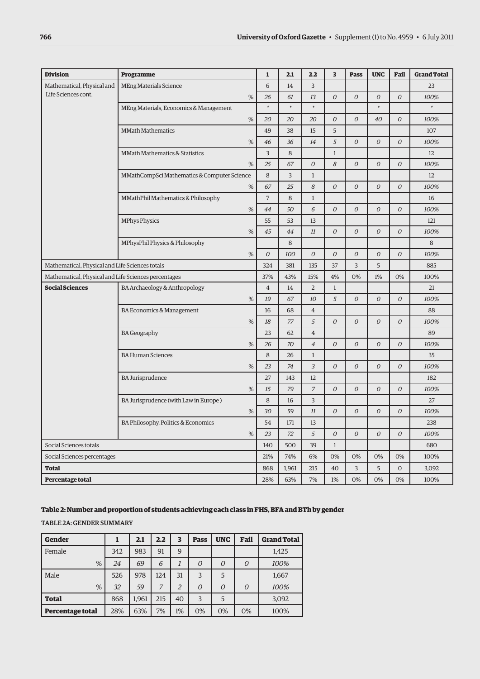| <b>Division</b>                                      | <b>Programme</b>                            | $\mathbf{1}$   | 2.1    | 2.2            | 3              | Pass           | <b>UNC</b>     | Fail           | <b>Grand Total</b> |
|------------------------------------------------------|---------------------------------------------|----------------|--------|----------------|----------------|----------------|----------------|----------------|--------------------|
| Mathematical, Physical and                           | <b>MEng Materials Science</b>               | 6              | 14     | $\overline{3}$ |                |                |                |                | 23                 |
| Life Sciences cont.                                  | %                                           | 26             | 61     | 13             | $\overline{O}$ | $\overline{O}$ | $\overline{O}$ | $\overline{O}$ | 100%               |
|                                                      | MEng Materials, Economics & Management      | $\ast$         | $\ast$ | $\ast$         |                |                | $\ast$         |                | $\ast$             |
|                                                      | %                                           | 20             | 20     | 20             | 0              | $\overline{O}$ | 40             | $\overline{O}$ | 100%               |
|                                                      | <b>MMath Mathematics</b>                    | 49             | 38     | 15             | 5              |                |                |                | 107                |
|                                                      | %                                           | 46             | 36     | 14             | 5              | $\overline{O}$ | 0              | $\overline{O}$ | 100%               |
|                                                      | MMath Mathematics & Statistics              | 3              | 8      |                | $\mathbf{1}$   |                |                |                | 12                 |
|                                                      | %                                           | 25             | 67     | 0              | 8              | $\overline{O}$ | 0              | $\overline{O}$ | 100%               |
|                                                      | MMathCompSci Mathematics & Computer Science | 8              | 3      | $\mathbf{1}$   |                |                |                |                | 12                 |
|                                                      | %                                           | 67             | 25     | 8              | 0              | $\mathcal O$   | 0              | $\mathcal O$   | 100%               |
|                                                      | MMathPhil Mathematics & Philosophy          | $\overline{7}$ | 8      | $\mathbf{1}$   |                |                |                |                | 16                 |
|                                                      | %                                           | 44             | 50     | 6              | $\overline{O}$ | 0              | $\overline{O}$ | $\overline{O}$ | 100%               |
|                                                      | <b>MPhys Physics</b>                        | 55             | 53     | 13             |                |                |                |                | 121                |
|                                                      | %                                           | 45             | 44     | 11             | $\overline{O}$ | $\overline{O}$ | $\overline{O}$ | $\mathcal O$   | 100%               |
|                                                      | MPhysPhil Physics & Philosophy              |                | 8      |                |                |                |                |                | 8                  |
|                                                      | %                                           | $\mathcal O$   | 100    | $\cal O$       | $\mathcal O$   | 0              | $\mathcal O$   | $\mathcal O$   | 100%               |
| Mathematical, Physical and Life Sciences totals      |                                             | 324            | 381    | 135            | 37             | $\overline{3}$ | 5              |                | 885                |
| Mathematical, Physical and Life Sciences percentages |                                             | 37%            | 43%    | 15%            | 4%             | 0%             | 1%             | 0%             | 100%               |
| <b>Social Sciences</b>                               | BA Archaeology & Anthropology               | $\overline{4}$ | 14     | $\overline{2}$ | $\mathbf{1}$   |                |                |                | 21                 |
|                                                      | %                                           | 19             | 67     | 10             | 5              | 0              | 0              | $\mathcal O$   | 100%               |
|                                                      | BA Economics & Management                   | 16             | 68     | $\overline{4}$ |                |                |                |                | 88                 |
|                                                      | %                                           | 18             | 77     | 5              | $\cal O$       | 0              | 0              | $\mathcal O$   | 100%               |
|                                                      | <b>BA Geography</b>                         | 23             | 62     | $\overline{4}$ |                |                |                |                | 89                 |
|                                                      | %                                           | 26             | 70     | $\overline{4}$ | $\overline{O}$ | 0              | $\overline{O}$ | $\overline{O}$ | 100%               |
|                                                      | <b>BA Human Sciences</b>                    | 8              | 26     | $1\,$          |                |                |                |                | 35                 |
|                                                      | %                                           | 23             | 74     | $\mathfrak{Z}$ | $\Omega$       | $\Omega$       | 0              | $\Omega$       | 100%               |
|                                                      | <b>BA Jurisprudence</b>                     | 27             | 143    | 12             |                |                |                |                | 182                |
|                                                      | %                                           | 15             | 79     | $\overline{z}$ | $\Omega$       | $\overline{O}$ | $\overline{O}$ | $\overline{O}$ | 100%               |
|                                                      | BA Jurisprudence (with Law in Europe)       | 8              | 16     | $\overline{3}$ |                |                |                |                | 27                 |
|                                                      | %                                           | 30             | 59     | 11             | $\overline{O}$ | 0              | $\overline{O}$ | $\overline{O}$ | 100%               |
|                                                      | BA Philosophy, Politics & Economics         | 54             | 171    | 13             |                |                |                |                | 238                |
|                                                      | %                                           | 23             | 72     | 5              | $\overline{O}$ | 0              | $\overline{O}$ | $\overline{O}$ | 100%               |
| Social Sciences totals                               |                                             | 140            | 500    | 39             | $\mathbf{1}$   |                |                |                | 680                |
| Social Sciences percentages                          |                                             | 21%            | 74%    | 6%             | 0%             | 0%             | 0%             | 0%             | 100%               |
| <b>Total</b>                                         |                                             | 868            | 1,961  | 215            | 40             | 3              | 5              | $\mathbf{O}$   | 3,092              |
| <b>Percentage total</b>                              |                                             | 28%            | 63%    | 7%             | 1%             | 0%             | 0%             | 0%             | 100%               |

## **Table 2: Number and proportion of students achieving each class in FHS, BFA and BTh by gender**

Table 2a: Gender summary

| Gender           |     | 2.1   | 2.2 | 3              | <b>Pass</b>    | <b>UNC</b> | Fail     | <b>Grand Total</b> |
|------------------|-----|-------|-----|----------------|----------------|------------|----------|--------------------|
| Female           | 342 | 983   | 91  | 9              |                |            |          | 1,425              |
| %                | 24  | 69    | 6   |                | $\overline{O}$ | $\Omega$   | $\Omega$ | 100%               |
| Male             | 526 | 978   | 124 | 31             | 3              | 5          |          | 1,667              |
| %                | 32  | 59    | 7   | $\overline{2}$ | 0              | $\Omega$   | $\Omega$ | 100%               |
| <b>Total</b>     | 868 | 1,961 | 215 | 40             | 3              | 5          |          | 3,092              |
| Percentage total | 28% | 63%   | 7%  | 1%             | 0%             | 0%         | 0%       | 100%               |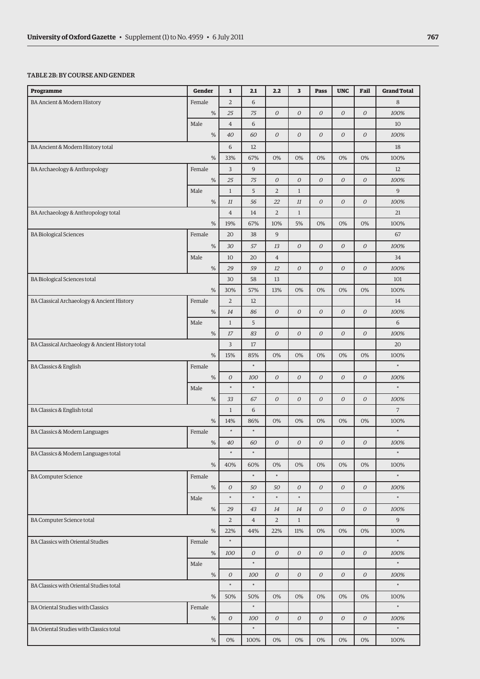#### Table 2b: By course andgender

| Programme                                        | Gender | 1                | 2.1            | 2.2              | 3                | <b>Pass</b>      | <b>UNC</b>       | Fail             | <b>Grand Total</b> |
|--------------------------------------------------|--------|------------------|----------------|------------------|------------------|------------------|------------------|------------------|--------------------|
| BA Ancient & Modern History                      | Female | $\overline{2}$   | 6              |                  |                  |                  |                  |                  | 8                  |
|                                                  | $\%$   | 25               | 75             | $\overline{O}$   | $\mathcal O$     | 0                | 0                | $\boldsymbol{O}$ | 100%               |
|                                                  | Male   | $\overline{4}$   | 6              |                  |                  |                  |                  |                  | 10                 |
|                                                  | $\%$   | 40               | 60             | $\boldsymbol{O}$ | $\mathcal O$     | ${\cal O}$       | 0                | $\boldsymbol{O}$ | 100%               |
| BA Ancient & Modern History total                |        | 6                | 12             |                  |                  |                  |                  |                  | 18                 |
|                                                  | %      | 33%              | 67%            | 0%               | 0%               | 0%               | 0%               | 0%               | 100%               |
| BA Archaeology & Anthropology                    | Female | 3                | 9              |                  |                  |                  |                  |                  | 12                 |
|                                                  | $\%$   | 25               | 75             | $\boldsymbol{O}$ | $\mathcal O$     | ${\cal O}$       | ${\cal O}$       | $\boldsymbol{O}$ | 100%               |
|                                                  | Male   | $1\,$            | 5              | $\overline{2}$   | $\mathbf{1}$     |                  |                  |                  | 9                  |
|                                                  | $\%$   | $11\,$           | 56             | 22               | 11               | ${\cal O}$       | $\boldsymbol{O}$ | $\boldsymbol{O}$ | 100%               |
| BA Archaeology & Anthropology total              |        | $\overline{4}$   | 14             | $\overline{2}$   | $\mathbf{1}$     |                  |                  |                  | 21                 |
|                                                  | %      | 19%              | 67%            | 10%              | 5%               | 0%               | 0%               | 0%               | 100%               |
| <b>BA Biological Sciences</b>                    | Female | 20               | 38             | 9                |                  |                  |                  |                  | 67                 |
|                                                  | $\%$   | 30               | 57             | 13               | $\mathcal O$     | ${\cal O}$       | ${\cal O}$       | $\boldsymbol{O}$ | 100%               |
|                                                  | Male   | 10               | 20             | $\overline{4}$   |                  |                  |                  |                  | 34                 |
|                                                  | $\%$   | 29               | 59             | 12               | $\overline{O}$   | $\overline{O}$   | $\boldsymbol{O}$ | $\boldsymbol{O}$ | 100%               |
| <b>BA Biological Sciences total</b>              |        | 30               | 58             | 13               |                  |                  |                  |                  | 101                |
|                                                  | %      | 30%              | 57%            | 13%              | 0%               | 0%               | 0%               | 0%               | 100%               |
| BA Classical Archaeology & Ancient History       | Female | $\sqrt{2}$       | 12             |                  |                  |                  |                  |                  | 14                 |
|                                                  | %      | 14               | 86             | $\overline{O}$   | $\overline{O}$   | $\overline{O}$   | ${\cal O}$       | $\overline{O}$   | 100%               |
|                                                  | Male   | $\mathbf{1}$     | 5              |                  |                  |                  |                  |                  | 6                  |
|                                                  | $\%$   | 17               | 83             | $\overline{O}$   | $\overline{O}$   | $\overline{O}$   | $\cal O$         | ${\cal O}$       | 100%               |
| BA Classical Archaeology & Ancient History total |        | 3                | 17             |                  |                  |                  |                  |                  | 20                 |
|                                                  | %      | 15%              | 85%            | 0%               | 0%               | 0%               | 0%               | 0%               | 100%               |
| <b>BA Classics &amp; English</b>                 | Female |                  | $\ast$         |                  |                  |                  |                  |                  | $\ast$             |
|                                                  | $\%$   | 0                | 100            | $\mathcal O$     | $\boldsymbol{O}$ | ${\cal O}$       | $\cal O$         | $\boldsymbol{O}$ | 100%               |
|                                                  | Male   | $\ast$           | $\ast$         |                  |                  |                  |                  |                  | $\ast$             |
|                                                  | $\%$   | 33               | 67             | $\overline{O}$   | $\overline{O}$   | $\overline{O}$   | $\cal O$         | ${\cal O}$       | 100%               |
| BA Classics & English total                      |        | $\mathbf{1}$     | 6              |                  |                  |                  |                  |                  | $\overline{7}$     |
|                                                  | %      | 14%              | 86%            | 0%               | 0%               | 0%               | 0%               | 0%               | 100%               |
| BA Classics & Modern Languages                   | Female | $\ast$           | $\ast$         |                  |                  |                  |                  |                  | $\ast$             |
|                                                  | $\%$   | 40               | 60             | $\boldsymbol{O}$ | $\mathcal O$     | ${\cal O}$       | ${\cal O}$       | $\cal O$         | 100%               |
| BA Classics & Modern Languages total             |        | $\ast$           | $\ast$         |                  |                  |                  |                  |                  | $\ast$             |
|                                                  | %      | 40%              | 60%            | 0%               | 0%               | 0%               | 0%               | 0%               | 100%               |
| <b>BA Computer Science</b>                       | Female |                  | $\ast$         | $^\ast$          |                  |                  |                  |                  | $\ast$             |
|                                                  | $\%$   | ${\cal O}$       | 50             | 50               | $\mathcal O$     | ${\cal O}$       | ${\cal O}$       | ${\cal O}$       | 100%               |
|                                                  | Male   | $\ast$           | $\ast$         | $\ast$           | $\ast$           |                  |                  |                  | $\ast$             |
|                                                  | $\%$   | 29               | 43             | 14               | 14               | $\mathcal O$     | ${\cal O}$       | $\cal O$         | 100%               |
| <b>BA Computer Science total</b>                 |        | $\overline{2}$   | $\overline{4}$ | $\overline{2}$   | $\mathbf{1}$     |                  |                  |                  | 9                  |
|                                                  | $\%$   | 22%              | 44%            | 22%              | 11%              | 0%               | 0%               | 0%               | 100%               |
| <b>BA Classics with Oriental Studies</b>         | Female | $\ast$           |                |                  |                  |                  |                  |                  | $\ast$             |
|                                                  | $\%$   | 100              | $\mathcal O$   | $\mathcal O$     | $\mathcal O$     | 0                | $\cal O$         | $\mathcal O$     | 100%               |
|                                                  | Male   |                  | $\ast$         |                  |                  |                  |                  |                  | $\ast$             |
|                                                  | $\%$   | 0                | 100            | $\mathcal O$     | 0                | $\boldsymbol{O}$ | ${\cal O}$       | ${\cal O}$       | 100%               |
| BA Classics with Oriental Studies total          |        | $\ast$           | $\ast$         |                  |                  |                  |                  |                  | $\ast$             |
|                                                  | %      | 50%              | 50%            | 0%               | 0%               | 0%               | 0%               | 0%               | 100%               |
| <b>BA Oriental Studies with Classics</b>         | Female |                  | $\ast$         |                  |                  |                  |                  |                  | $\ast$             |
|                                                  | $\%$   | $\boldsymbol{O}$ | 100            | $\mathcal O$     | 0                | $\boldsymbol{O}$ | $\boldsymbol{O}$ | ${\cal O}$       | 100%               |
| BA Oriental Studies with Classics total          |        |                  | $\ast$         |                  |                  |                  |                  |                  | $\ast$             |
|                                                  | $\%$   | 0%               | 100%           | 0%               | 0%               | 0%               | 0%               | 0%               | 100%               |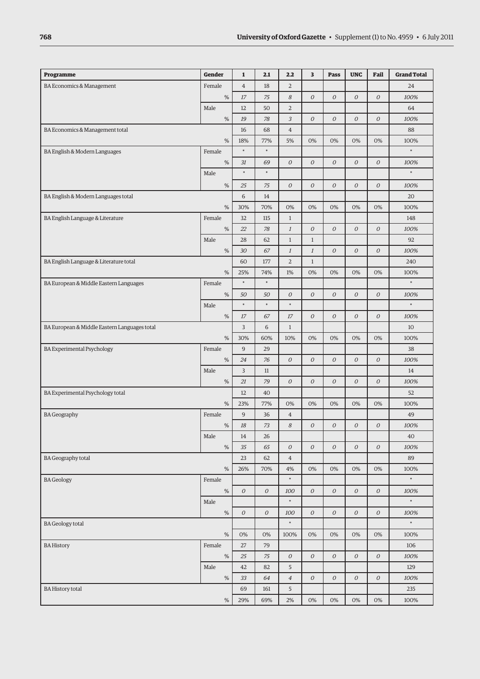| Programme                                    | <b>Gender</b> | $\mathbf{1}$     | 2.1              | 2.2              | $\overline{\mathbf{3}}$ | <b>Pass</b>      | <b>UNC</b>       | Fail             | <b>Grand Total</b> |
|----------------------------------------------|---------------|------------------|------------------|------------------|-------------------------|------------------|------------------|------------------|--------------------|
| BA Economics & Management                    | Female        | $\overline{4}$   | 18               | $\overline{2}$   |                         |                  |                  |                  | 24                 |
|                                              | $\%$          | $17\,$           | 75               | 8                | $\boldsymbol{O}$        | $\boldsymbol{O}$ | $\boldsymbol{O}$ | $\mathcal O$     | 100%               |
|                                              | Male          | 12               | 50               | $\overline{2}$   |                         |                  |                  |                  | 64                 |
|                                              | $\%$          | 19               | 78               | 3                | $\boldsymbol{O}$        | $\boldsymbol{O}$ | $\boldsymbol{O}$ | $\mathcal O$     | 100%               |
| BA Economics & Management total              |               | 16               | 68               | $\overline{4}$   |                         |                  |                  |                  | 88                 |
|                                              | %             | 18%              | 77%              | 5%               | 0%                      | 0%               | 0%               | 0%               | 100%               |
| BA English & Modern Languages                | Female        | $\ast$           | $\ast$           |                  |                         |                  |                  |                  | $\ast$             |
|                                              | $\%$          | 31               | 69               | $\overline{O}$   | $\overline{O}$          | 0                | ${\cal O}$       | $\mathcal O$     | 100%               |
|                                              | Male          | $\ast$           | $\ast$           |                  |                         |                  |                  |                  | $\ast$             |
|                                              | $\%$          | 25               | 75               | ${\cal O}$       | $\boldsymbol{O}$        | $\boldsymbol{O}$ | 0                | ${\cal O}$       | 100%               |
| BA English & Modern Languages total          |               | 6                | 14               |                  |                         |                  |                  |                  | 20                 |
|                                              | %             | 30%              | 70%              | 0%               | 0%                      | 0%               | 0%               | 0%               | 100%               |
| BA English Language & Literature             | Female        | 32               | 115              | $\mathbf{1}$     |                         |                  |                  |                  | 148                |
|                                              | $\%$          | 22               | 78               | $\cal I$         | $\mathcal O$            | $\mathcal O$     | $\cal O$         | $\mathcal O$     | 100%               |
|                                              | Male          | 28               | 62               | $\mathbf{1}$     | $\mathbf{1}$            |                  |                  |                  | 92                 |
|                                              | $\%$          | 30               | 67               | $\cal I$         | $\mathfrak{1}$          | $\boldsymbol{O}$ | $\boldsymbol{O}$ | $\mathcal O$     | 100%               |
| BA English Language & Literature total       |               | 60               | 177              | $\overline{2}$   | $\mathbf{1}$            |                  |                  |                  | 240                |
|                                              | %             | 25%              | 74%              | 1%               | 0%                      | 0%               | 0%               | 0%               | 100%               |
| BA European & Middle Eastern Languages       | Female        | $\ast$           | $\ast$           |                  |                         |                  |                  |                  | $\ast$             |
|                                              | $\%$          | 50               | 50               | $\boldsymbol{O}$ | $\overline{O}$          | ${\cal O}$       | $\cal O$         | $\cal O$         | 100%               |
|                                              | Male          | $\ast$           | $\ast$           | $\ast$           |                         |                  |                  |                  | $\ast$             |
|                                              | $\%$          | 17<br>3          | 67               | 17               | ${\cal O}$              | ${\cal O}$       | $\cal O$         | ${\cal O}$       | 100%               |
| BA European & Middle Eastern Languages total |               |                  | 6                | $1\,$            |                         |                  |                  |                  | 10                 |
|                                              | %             | 30%              | 60%              | 10%              | 0%                      | 0%               | 0%               | 0%               | 100%               |
| <b>BA Experimental Psychology</b>            | Female        | 9                | 29               |                  |                         |                  |                  |                  | 38                 |
|                                              | $\%$          | 24               | 76               | ${\cal O}$       | ${\cal O}$              | ${\cal O}$       | $\cal O$         | ${\cal O}$       | 100%               |
|                                              | Male          | 3                | 11               |                  |                         |                  |                  |                  | 14                 |
|                                              | $\%$          | 21               | 79               | $\overline{O}$   | $\mathcal O$            | ${\cal O}$       | $\cal O$         | $\cal O$         | 100%               |
| BA Experimental Psychology total             | $\%$          | 12<br>23%        | 40<br>77%        | 0%               | 0%                      | 0%               | 0%               | 0%               | 52<br>100%         |
| <b>BA Geography</b>                          | Female        | 9                | 36               | $\overline{4}$   |                         |                  |                  |                  | 49                 |
|                                              | $\%$          | 18               | 73               | 8                | $\mathcal O$            | $\boldsymbol{O}$ | ${\cal O}$       | $\boldsymbol{O}$ | 100%               |
|                                              | Male          | 14               | 26               |                  |                         |                  |                  |                  | 40                 |
|                                              | $\%$          | 35               | 65               | ${\cal O}$       | ${\cal O}$              | $\mathcal O$     | ${\cal O}$       | ${\cal O}$       | 100%               |
| <b>BA Geography total</b>                    |               | 23               | 62               | $\overline{4}$   |                         |                  |                  |                  | 89                 |
|                                              | $\%$          | 26%              | 70%              | 4%               | 0%                      | 0%               | 0%               | 0%               | 100%               |
| <b>BA</b> Geology                            | Female        |                  |                  | $\ast$           |                         |                  |                  |                  | $\ast$             |
|                                              | $\%$          | ${\cal O}$       | $\boldsymbol{O}$ | 100              | $\mathcal O$            | ${\cal O}$       | ${\cal O}$       | ${\cal O}$       | 100%               |
|                                              | Male          |                  |                  | $\ast$           |                         |                  |                  |                  | $\ast$             |
|                                              | $\%$          | $\boldsymbol{O}$ | $\boldsymbol{O}$ | 100              | ${\cal O}$              | ${\cal O}$       | ${\cal O}$       | ${\cal O}$       | 100%               |
| <b>BA</b> Geology total                      |               |                  |                  | $\ast$           |                         |                  |                  |                  | $\ast$             |
|                                              | $\%$          | 0%               | 0%               | 100%             | 0%                      | 0%               | 0%               | 0%               | 100%               |
| <b>BA History</b>                            | Female        | 27               | 79               |                  |                         |                  |                  |                  | 106                |
|                                              | $\%$          | 25               | 75               | ${\cal O}$       | ${\cal O}$              | ${\cal O}$       | ${\cal O}$       | ${\cal O}$       | 100%               |
|                                              | Male          | 42               | 82               | 5                |                         |                  |                  |                  | 129                |
|                                              | $\%$          | 33               | 64               | $\ensuremath{4}$ | ${\cal O}$              | 0                | ${\cal O}$       | ${\cal O}$       | 100%               |
| <b>BA History total</b>                      |               | 69               | 161              | 5                |                         |                  |                  |                  | 235                |
|                                              | %             | 29%              | 69%              | $2\%$            | 0%                      | 0%               | 0%               | 0%               | 100%               |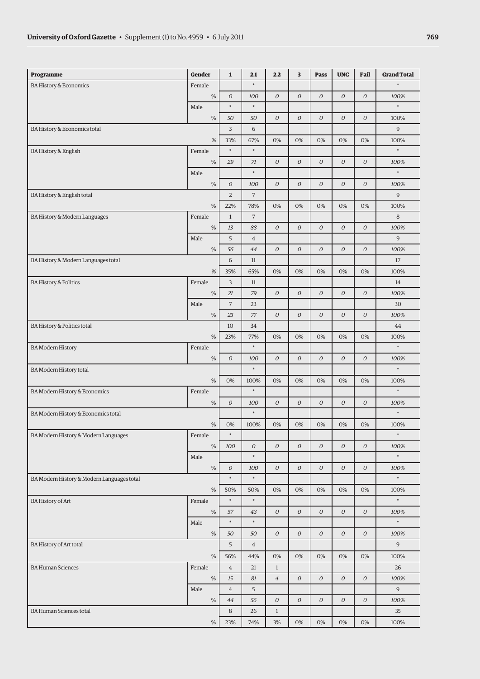| Programme                                  | <b>Gender</b> | $\mathbf{1}$   | 2.1            | 2.2              | 3            | <b>Pass</b>      | <b>UNC</b>       | Fail             | <b>Grand Total</b> |
|--------------------------------------------|---------------|----------------|----------------|------------------|--------------|------------------|------------------|------------------|--------------------|
| <b>BA History &amp; Economics</b>          | Female        |                | $\ast$         |                  |              |                  |                  |                  | $\ast$             |
|                                            | $\%$          | ${\cal O}$     | 100            | $\overline{O}$   | $\mathcal O$ | $\boldsymbol{O}$ | 0                | $\boldsymbol{O}$ | 100%               |
|                                            | Male          | $\ast$         | $\ast$         |                  |              |                  |                  |                  | $\ast$             |
|                                            | $\%$          | 50             | 50             | $\mathcal O$     | $\mathcal O$ | $\cal O$         | 0                | $\mathcal O$     | 100%               |
| BA History & Economics total               |               | 3              | 6              |                  |              |                  |                  |                  | $\overline{9}$     |
|                                            | $\%$          | 33%            | 67%            | 0%               | 0%           | 0%               | 0%               | 0%               | 100%               |
| <b>BA History &amp; English</b>            | Female        | $\ast$         | $\ast$         |                  |              |                  |                  |                  | $\ast$             |
|                                            | $\%$          | 29             | 71             | ${\cal O}$       | $\mathcal O$ | $\mathcal O$     | ${\cal O}$       | ${\cal O}$       | 100%               |
|                                            | Male          |                | $\ast$         |                  |              |                  |                  |                  | $\ast$             |
|                                            | $\%$          | ${\cal O}$     | 100            | $\boldsymbol{O}$ | $\mathcal O$ | $\boldsymbol{O}$ | 0                | $\mathcal O$     | 100%               |
| BA History & English total                 |               | $\overline{2}$ | 7              |                  |              |                  |                  |                  | 9                  |
|                                            | $\%$          | 22%            | 78%            | 0%               | 0%           | 0%               | 0%               | 0%               | 100%               |
| BA History & Modern Languages              | Female        | $\mathbf{1}$   | $\overline{7}$ |                  |              |                  |                  |                  | 8                  |
|                                            | $\%$          | 13             | 88             | $\overline{O}$   | $\mathcal O$ | ${\cal O}$       | ${\cal O}$       | $\mathcal O$     | 100%               |
|                                            | Male          | 5              | $\overline{4}$ |                  |              |                  |                  |                  | $\overline{9}$     |
|                                            | $\%$          | 56             | 44             | ${\cal O}$       | ${\cal O}$   | ${\cal O}$       | ${\cal O}$       | ${\cal O}$       | 100%               |
| BA History & Modern Languages total        |               | 6              | 11             |                  |              |                  |                  |                  | 17                 |
|                                            | $\%$          | 35%            | 65%            | 0%               | 0%           | 0%               | 0%               | 0%               | 100%               |
| <b>BA History &amp; Politics</b>           | Female        | 3              | 11             |                  |              |                  |                  |                  | 14                 |
|                                            | $\%$          | 21             | 79             | ${\cal O}$       | ${\cal O}$   | ${\cal O}$       | ${\cal O}$       | ${\cal O}$       | 100%               |
|                                            | Male          | $\overline{7}$ | 23             |                  |              |                  |                  |                  | 30                 |
|                                            | $\%$          | 23             | 77             | ${\cal O}$       | $\mathcal O$ | ${\cal O}$       | ${\cal O}$       | ${\cal O}$       | 100%               |
| BA History & Politics total                |               | 10             | 34             |                  |              |                  |                  |                  | 44                 |
|                                            | $\%$          | 23%            | 77%            | 0%               | 0%           | 0%               | 0%               | 0%               | 100%               |
| <b>BA Modern History</b>                   | Female        |                | $\ast$         |                  |              |                  |                  |                  | $\ast$             |
|                                            | $\%$          | ${\cal O}$     | 100            | $\boldsymbol{O}$ | $\mathcal O$ | $\boldsymbol{O}$ | ${\cal O}$       | ${\cal O}$       | 100%               |
| BA Modern History total                    |               |                | $\ast$         |                  |              |                  |                  |                  | $\ast$             |
|                                            | $\%$          | 0%             | 100%           | 0%               | 0%           | 0%               | 0%               | 0%               | 100%               |
| BA Modern History & Economics              | Female        |                | $\ast$         |                  |              |                  |                  |                  | $\ast$             |
|                                            | $\%$          | 0              | 100            | $\boldsymbol{O}$ | $\mathcal O$ | $\boldsymbol{O}$ | 0                | $\mathcal O$     | 100%               |
| BA Modern History & Economics total        |               |                | $\ast$         |                  |              |                  |                  |                  | $\ast$             |
|                                            | $\%$          | 0%             | 100%           | 0%               | 0%           | 0%               | 0%               | 0%               | 100%               |
| BA Modern History & Modern Languages       | Female        | $\ast$         |                |                  |              |                  |                  |                  | $\ast$             |
|                                            | $\%$          | 100            | 0              | ${\cal O}$       | $\mathcal O$ | ${\cal O}$       | ${\cal O}$       | ${\cal O}$       | 100%               |
|                                            | Male          |                | $\ast$         |                  |              |                  |                  |                  | $\ast$             |
|                                            | $\%$          | ${\cal O}$     | 100            | $\mathcal O$     | $\mathcal O$ | 0                | $\boldsymbol{O}$ | $\mathcal O$     | 100%               |
| BA Modern History & Modern Languages total |               | $\ast$         | $\ast$         |                  |              |                  |                  |                  | $\ast$             |
|                                            | $\%$          | 50%            | 50%            | 0%               | 0%           | 0%               | 0%               | 0%               | 100%               |
| <b>BA History of Art</b>                   | Female        | $\ast$         | $\ast$         |                  |              |                  |                  |                  | $\ast$             |
|                                            | $\%$          | 57             | 43             | ${\cal O}$       | $\mathcal O$ | $\mathcal O$     | ${\cal O}$       | ${\cal O}$       | 100%               |
|                                            | Male          | $\ast$         | $\ast$         |                  |              |                  |                  |                  | $\ast$             |
|                                            | $\%$          | 50             | 50             | ${\cal O}$       | $\mathcal O$ | $\mathcal O$     | 0                | ${\cal O}$       | 100%               |
| BA History of Art total                    |               | 5              | $\overline{4}$ |                  |              |                  |                  |                  | 9                  |
|                                            | $\%$          | 56%            | 44%            | 0%               | 0%           | 0%               | 0%               | 0%               | 100%               |
| <b>BA Human Sciences</b>                   | Female        | $\overline{4}$ | 21             | $\mathbf{1}$     |              |                  |                  |                  | 26                 |
|                                            | $\%$          | $15\,$         | 81             | $\overline{4}$   | $\mathcal O$ | $\mathcal O$     | ${\cal O}$       | ${\cal O}$       | 100%               |
|                                            | Male          | $\overline{4}$ | 5              |                  |              |                  |                  |                  | 9                  |
|                                            | $\%$          | 44             | 56             | $\boldsymbol{O}$ | $\mathcal O$ | $\mathcal O$     | ${\cal O}$       | ${\cal O}$       | 100%               |
| <b>BA Human Sciences total</b>             |               | 8              | 26             | $\,1$            |              |                  |                  |                  | 35                 |
|                                            | $\%$          | 23%            | 74%            | 3%               | 0%           | 0%               | $0\%$            | 0%               | 100%               |
|                                            |               |                |                |                  |              |                  |                  |                  |                    |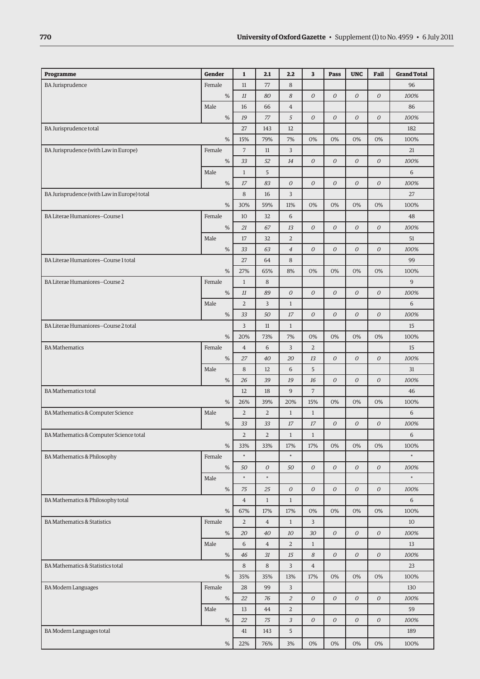| Programme                                   | Gender | $\mathbf{1}$   | 2.1            | 2.2              | 3                | <b>Pass</b>      | <b>UNC</b>       | Fail             | <b>Grand Total</b> |
|---------------------------------------------|--------|----------------|----------------|------------------|------------------|------------------|------------------|------------------|--------------------|
| <b>BA Jurisprudence</b>                     | Female | 11             | 77             | 8                |                  |                  |                  |                  | 96                 |
|                                             | $\%$   | $11\,$         | 80             | 8                | $\boldsymbol{O}$ | 0                | $\mathcal O$     | $\mathcal O$     | 100%               |
|                                             | Male   | 16             | 66             | $\overline{4}$   |                  |                  |                  |                  | 86                 |
|                                             | $\%$   | 19             | 77             | 5                | ${\cal O}$       | 0                | $\boldsymbol{O}$ | $\mathcal O$     | 100%               |
| BA Jurisprudence total                      |        | 27             | 143            | 12               |                  |                  |                  |                  | 182                |
|                                             | %      | 15%            | 79%            | 7%               | 0%               | 0%               | 0%               | 0%               | 100%               |
| BA Jurisprudence (with Law in Europe)       | Female | $\overline{7}$ | 11             | 3                |                  |                  |                  |                  | 21                 |
|                                             | $\%$   | 33             | 52             | 14               | ${\cal O}$       | $\boldsymbol{O}$ | ${\cal O}$       | $\mathcal O$     | 100%               |
|                                             | Male   | $\mathbf{1}$   | 5              |                  |                  |                  |                  |                  | 6                  |
|                                             | $\%$   | 17             | 83             | $\overline{O}$   | $\overline{O}$   | 0                | $\mathcal O$     | $\mathcal O$     | 100%               |
| BA Jurisprudence (with Law in Europe) total |        | 8              | 16             | 3                |                  |                  |                  |                  | 27                 |
|                                             | %      | 30%            | 59%            | 11%              | 0%               | 0%               | 0%               | 0%               | 100%               |
| BA Literae Humaniores-Course 1              | Female | 10             | 32             | 6                |                  |                  |                  |                  | 48                 |
|                                             | %      | 21             | 67             | 13               | ${\cal O}$       | 0                | ${\cal O}$       | $\boldsymbol{O}$ | 100%               |
|                                             | Male   | 17             | 32             | $\overline{2}$   |                  |                  |                  |                  | 51                 |
|                                             | $\%$   | 33             | 63             | $\overline{4}$   | $\overline{O}$   | $\boldsymbol{O}$ | ${\cal O}$       | $\mathcal O$     | 100%               |
| BA Literae Humaniores-Course 1 total        |        | 27             | 64             | 8                |                  |                  |                  |                  | 99                 |
|                                             | %      | 27%            | 65%            | 8%               | 0%               | 0%               | 0%               | 0%               | 100%               |
| BA Literae Humaniores-Course 2              | Female | $\,1$          | 8              |                  |                  |                  |                  |                  | $\overline{9}$     |
|                                             | %      | 11             | 89             | $\boldsymbol{O}$ | $\boldsymbol{O}$ | $\boldsymbol{O}$ | $\boldsymbol{O}$ | $\mathcal O$     | 100%               |
|                                             | Male   | $\overline{2}$ | 3              | $\mathbf{1}$     |                  |                  |                  |                  | 6                  |
|                                             | $\%$   | 33             | 50             | 17               | ${\cal O}$       | 0                | $\boldsymbol{O}$ | $\mathcal O$     | 100%               |
| BA Literae Humaniores-Course 2 total        |        | 3              | 11             | $\mathbf{1}$     |                  |                  |                  |                  | 15                 |
|                                             | $\%$   | 20%            | 73%            | 7%               | 0%               | 0%               | 0%               | 0%               | 100%               |
| <b>BA Mathematics</b>                       | Female | $\overline{4}$ | 6              | 3                | $\overline{2}$   |                  |                  |                  | 15                 |
|                                             | $\%$   | 27             | 40             | 20               | 13               | 0                | $\boldsymbol{O}$ | $\boldsymbol{O}$ | 100%               |
|                                             | Male   | 8              | 12             | 6                | 5                |                  |                  |                  | 31                 |
|                                             | %      | 26             | 39             | 19               | 16               | $\boldsymbol{O}$ | $\overline{O}$   | $\overline{O}$   | 100%               |
| <b>BA</b> Mathematics total                 |        | 12             | 18             | 9                | 7                |                  |                  |                  | 46                 |
|                                             | %      | 26%            | 39%            | 20%              | 15%              | 0%               | 0%               | 0%               | 100%               |
| BA Mathematics & Computer Science           | Male   | $\overline{2}$ | $\overline{a}$ | $\mathbf{1}$     | $\mathbf{1}$     |                  |                  |                  | 6                  |
|                                             | $\%$   | 33             | 33             | 17               | $17$             | 0                | $\boldsymbol{O}$ | $\boldsymbol{O}$ | 100%               |
| BA Mathematics & Computer Science total     |        | $\overline{2}$ | $\overline{a}$ | $\,1$            | $\mathbf{1}$     |                  |                  |                  | 6                  |
|                                             | %      | 33%            | 33%            | 17%              | 17%              | 0%               | 0%               | 0%               | 100%               |
| BA Mathematics & Philosophy                 | Female | $\ast$         |                | $\ast$           |                  |                  |                  |                  | $\ast$             |
|                                             | $\%$   | 50             | $\cal O$       | 50               | $\overline{O}$   | ${\cal O}$       | ${\cal O}$       | $\mathcal O$     | 100%               |
|                                             | Male   | $\ast$         | $\ast$         |                  |                  |                  |                  |                  | $\ast$             |
|                                             | $\%$   | 75             | 25             | ${\cal O}$       | $\boldsymbol{O}$ | 0                | $\cal O$         | $\mathcal O$     | 100%               |
| BA Mathematics & Philosophy total           |        | $\overline{4}$ | $\mathbf{1}$   | $\mathbf{1}$     |                  |                  |                  |                  | 6                  |
|                                             | $\%$   | 67%            | 17%            | 17%              | 0%               | 0%               | 0%               | 0%               | 100%               |
| <b>BA Mathematics &amp; Statistics</b>      | Female | $\overline{2}$ | $\overline{4}$ | $\mathbf{1}$     | 3                |                  |                  |                  | 10                 |
|                                             | $\%$   | 20             | 40             | 10               | 30               | $\cal O$         | $\cal O$         | $\cal O$         | 100%               |
|                                             | Male   | $\sqrt{6}$     | $\overline{4}$ | $\overline{2}$   | $\mathbf{1}$     |                  |                  |                  | 13                 |
|                                             | $\%$   | 46             | 31             | 15               | 8                | ${\cal O}$       | ${\cal O}$       | $\mathcal O$     | 100%               |
| BA Mathematics & Statistics total           |        | $\,8\,$        | 8              | 3                | $\overline{4}$   |                  |                  |                  | 23                 |
|                                             | $\%$   | 35%            | 35%            | 13%              | 17%              | 0%               | 0%               | 0%               | 100%               |
| <b>BA Modern Languages</b>                  | Female | 28             | 99             | $\overline{3}$   |                  |                  |                  |                  | 130                |
|                                             | $\%$   | 22             | 76             | $\overline{2}$   | $\overline{O}$   | $\overline{O}$   | $\cal O$         | $\mathcal O$     | 100%               |
|                                             | Male   | 13             | 44             | $\overline{2}$   |                  |                  |                  |                  | 59                 |
|                                             | $\%$   | 22             | 75             | $\mathfrak{Z}$   | $\cal O$         | $\cal O$         | $\mathcal O$     | ${\cal O}$       | 100%               |
| BA Modern Languages total                   |        | 41             | 143            | 5                |                  |                  |                  |                  | 189                |
|                                             | $\%$   | 22%            | 76%            | 3%               | 0%               | 0%               | 0%               | 0%               | 100%               |
|                                             |        |                |                |                  |                  |                  |                  |                  |                    |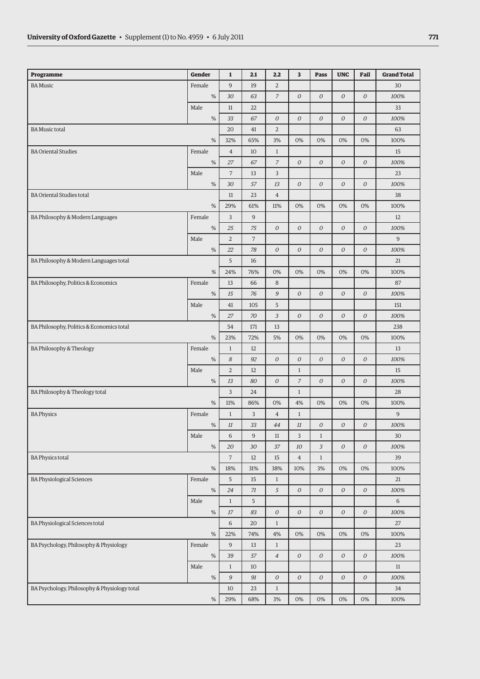| 9<br>$\overline{2}$<br>19<br><b>BA Music</b><br>Female<br>30<br>7<br>$\overline{O}$<br>${\cal O}$<br>0<br>${\cal O}$<br>$\%$<br>30<br>63<br>100%<br>Male<br>33<br>11<br>22<br>$\%$<br>33<br>67<br>$\mathcal O$<br>$\boldsymbol{O}$<br>0<br>0<br>$\mathcal O$<br>100%<br>$\overline{2}$<br><b>BA Music total</b><br>20<br>41<br>63<br>$\%$<br>32%<br>65%<br>3%<br>0%<br>0%<br>0%<br>0%<br>100%<br><b>BA Oriental Studies</b><br>Female<br>$\overline{4}$<br>10<br>$1\,$<br>15<br>$\overline{7}$<br>${\cal O}$<br>${\cal O}$<br>$\%$<br>27<br>67<br>$\mathcal O$<br>$\mathcal O$<br>100%<br>$\overline{7}$<br>3<br>Male<br>13<br>23<br>$\%$<br>30<br>13<br>$\mathcal O$<br>$\boldsymbol{O}$<br>0<br>$\mathcal O$<br>100%<br>57<br><b>BA Oriental Studies total</b><br>23<br>$\overline{4}$<br>38<br>11<br>$\%$<br>29%<br>61%<br>11%<br>0%<br>0%<br>0%<br>0%<br>100%<br>Female<br>3<br>9<br>BA Philosophy & Modern Languages<br>12<br>$\%$<br>${\cal O}$<br>$\cal O$<br>${\cal O}$<br>0<br>${\cal O}$<br>25<br>75<br>100%<br>$\overline{2}$<br>$\overline{7}$<br>$\overline{9}$<br>Male<br>${\cal O}$<br>${\cal O}$<br>${\cal O}$<br>${\cal O}$<br>$\%$<br>78<br>$\mathcal O$<br>100%<br>22<br>5<br>BA Philosophy & Modern Languages total<br>16<br>21<br>%<br>24%<br>76%<br>0%<br>0%<br>0%<br>0%<br>0%<br>100%<br>BA Philosophy, Politics & Economics<br>Female<br>13<br>$\,8\,$<br>87<br>66<br>$\%$<br>$\mathfrak{g}$<br>$\mathcal O$<br>$\boldsymbol{O}$<br>0<br>$\mathcal O$<br>15<br>76<br>100%<br>Male<br>41<br>105<br>5<br>151<br>$\%$<br>27<br>70<br>3<br>$\mathcal O$<br>$\boldsymbol{O}$<br>0<br>$\mathcal O$<br>100%<br>BA Philosophy, Politics & Economics total<br>54<br>13<br>238<br>171<br>$\%$<br>23%<br>72%<br>5%<br>0%<br>0%<br>0%<br>0%<br>100%<br>BA Philosophy & Theology<br>Female<br>$\,1$<br>13<br>12<br>$\%$<br>$\boldsymbol{8}$<br>92<br>$\boldsymbol{O}$<br>$\mathcal O$<br>$\cal O$<br>0<br>$\mathcal O$<br>100%<br>Male<br>$\overline{a}$<br>12<br>$1\,$<br>15<br>$\overline{O}$<br>$\overline{7}$<br>$\overline{O}$<br>0<br>${\cal O}$<br>$\%$<br>13<br>80<br>100%<br>3<br>BA Philosophy & Theology total<br>24<br>$\mathbf{1}$<br>28<br>$\%$<br>11%<br>86%<br>0%<br>4%<br>0%<br>0%<br>0%<br>100%<br>$\mathsf 9$<br><b>BA Physics</b><br>Female<br>$\mathbf{1}$<br>3<br>$\,4\,$<br>$1\,$<br>$\%$<br>$11\,$<br>33<br>44<br>$11\,$<br>$\cal O$<br>0<br>$\mathcal O$<br>100%<br>Male<br>6<br>9<br>$11\,$<br>3<br>$1\,$<br>30<br>$\%$<br>20<br>37<br>10<br>3<br>${\cal O}$<br>${\cal O}$<br>100%<br>30<br><b>BA Physics total</b><br>$\overline{7}$<br>$1\,$<br>12<br>15<br>$\overline{4}$<br>39<br>38%<br>10%<br>0%<br>0%<br>$\%$<br>18%<br>31%<br>3%<br>100%<br>Female<br>5<br><b>BA Physiological Sciences</b><br>15<br>$\mathbf{1}$<br>21<br>$\%$<br>$\sqrt{5}$<br>$\mathcal O$<br>${\cal O}$<br>0<br>${\cal O}$<br>24<br>71<br>100%<br>Male<br>$1\,$<br>5<br>6<br>${\cal O}$<br>$\cal O$<br>$\%$<br>$\cal O$<br>$\mathcal O$<br>${\cal O}$<br>$17$<br>83<br>100%<br><b>BA Physiological Sciences total</b><br>$\sqrt{6}$<br>20<br>$\mathbf{1}$<br>27<br>$\%$<br>4%<br>0%<br>0%<br>$0\%$<br>0%<br>22%<br>74%<br>100%<br>BA Psychology, Philosophy & Physiology<br>Female<br>9<br>$1\,$<br>13<br>23<br>$\%$<br>$\overline{4}$<br>$\mathcal O$<br>$\mathcal O$<br>${\cal O}$<br>${\cal O}$<br>39<br>57<br>100%<br>Male<br>$\,1$<br>10<br>$11\,$<br>$\%$<br>$\mathcal G$<br>${\cal O}$<br>$\mathcal O$<br>$\cal O$<br>${\cal O}$<br>${\cal O}$<br>91<br>100%<br>BA Psychology, Philosophy & Physiology total<br>10<br>23<br>$\mathbf{1}$<br>34<br>$\%$<br>29%<br>68%<br>3%<br>0%<br>0%<br>0%<br>0%<br>100% | Programme | <b>Gender</b> | $\mathbf{1}$ | 2.1 | 2.2 | 3 | <b>Pass</b> | <b>UNC</b> | Fail | <b>Grand Total</b> |
|------------------------------------------------------------------------------------------------------------------------------------------------------------------------------------------------------------------------------------------------------------------------------------------------------------------------------------------------------------------------------------------------------------------------------------------------------------------------------------------------------------------------------------------------------------------------------------------------------------------------------------------------------------------------------------------------------------------------------------------------------------------------------------------------------------------------------------------------------------------------------------------------------------------------------------------------------------------------------------------------------------------------------------------------------------------------------------------------------------------------------------------------------------------------------------------------------------------------------------------------------------------------------------------------------------------------------------------------------------------------------------------------------------------------------------------------------------------------------------------------------------------------------------------------------------------------------------------------------------------------------------------------------------------------------------------------------------------------------------------------------------------------------------------------------------------------------------------------------------------------------------------------------------------------------------------------------------------------------------------------------------------------------------------------------------------------------------------------------------------------------------------------------------------------------------------------------------------------------------------------------------------------------------------------------------------------------------------------------------------------------------------------------------------------------------------------------------------------------------------------------------------------------------------------------------------------------------------------------------------------------------------------------------------------------------------------------------------------------------------------------------------------------------------------------------------------------------------------------------------------------------------------------------------------------------------------------------------------------------------------------------------------------------------------------------------------------------------------------------------------------------------------------------------------------------------------------------------------------------------------------------------------------------------------------------------------------------------------------------------------------------------------------------------------------------------------------------------------------------------------------------------------------------------------------------------------------------------------------------------------------------|-----------|---------------|--------------|-----|-----|---|-------------|------------|------|--------------------|
|                                                                                                                                                                                                                                                                                                                                                                                                                                                                                                                                                                                                                                                                                                                                                                                                                                                                                                                                                                                                                                                                                                                                                                                                                                                                                                                                                                                                                                                                                                                                                                                                                                                                                                                                                                                                                                                                                                                                                                                                                                                                                                                                                                                                                                                                                                                                                                                                                                                                                                                                                                                                                                                                                                                                                                                                                                                                                                                                                                                                                                                                                                                                                                                                                                                                                                                                                                                                                                                                                                                                                                                                                                    |           |               |              |     |     |   |             |            |      |                    |
|                                                                                                                                                                                                                                                                                                                                                                                                                                                                                                                                                                                                                                                                                                                                                                                                                                                                                                                                                                                                                                                                                                                                                                                                                                                                                                                                                                                                                                                                                                                                                                                                                                                                                                                                                                                                                                                                                                                                                                                                                                                                                                                                                                                                                                                                                                                                                                                                                                                                                                                                                                                                                                                                                                                                                                                                                                                                                                                                                                                                                                                                                                                                                                                                                                                                                                                                                                                                                                                                                                                                                                                                                                    |           |               |              |     |     |   |             |            |      |                    |
|                                                                                                                                                                                                                                                                                                                                                                                                                                                                                                                                                                                                                                                                                                                                                                                                                                                                                                                                                                                                                                                                                                                                                                                                                                                                                                                                                                                                                                                                                                                                                                                                                                                                                                                                                                                                                                                                                                                                                                                                                                                                                                                                                                                                                                                                                                                                                                                                                                                                                                                                                                                                                                                                                                                                                                                                                                                                                                                                                                                                                                                                                                                                                                                                                                                                                                                                                                                                                                                                                                                                                                                                                                    |           |               |              |     |     |   |             |            |      |                    |
|                                                                                                                                                                                                                                                                                                                                                                                                                                                                                                                                                                                                                                                                                                                                                                                                                                                                                                                                                                                                                                                                                                                                                                                                                                                                                                                                                                                                                                                                                                                                                                                                                                                                                                                                                                                                                                                                                                                                                                                                                                                                                                                                                                                                                                                                                                                                                                                                                                                                                                                                                                                                                                                                                                                                                                                                                                                                                                                                                                                                                                                                                                                                                                                                                                                                                                                                                                                                                                                                                                                                                                                                                                    |           |               |              |     |     |   |             |            |      |                    |
|                                                                                                                                                                                                                                                                                                                                                                                                                                                                                                                                                                                                                                                                                                                                                                                                                                                                                                                                                                                                                                                                                                                                                                                                                                                                                                                                                                                                                                                                                                                                                                                                                                                                                                                                                                                                                                                                                                                                                                                                                                                                                                                                                                                                                                                                                                                                                                                                                                                                                                                                                                                                                                                                                                                                                                                                                                                                                                                                                                                                                                                                                                                                                                                                                                                                                                                                                                                                                                                                                                                                                                                                                                    |           |               |              |     |     |   |             |            |      |                    |
|                                                                                                                                                                                                                                                                                                                                                                                                                                                                                                                                                                                                                                                                                                                                                                                                                                                                                                                                                                                                                                                                                                                                                                                                                                                                                                                                                                                                                                                                                                                                                                                                                                                                                                                                                                                                                                                                                                                                                                                                                                                                                                                                                                                                                                                                                                                                                                                                                                                                                                                                                                                                                                                                                                                                                                                                                                                                                                                                                                                                                                                                                                                                                                                                                                                                                                                                                                                                                                                                                                                                                                                                                                    |           |               |              |     |     |   |             |            |      |                    |
|                                                                                                                                                                                                                                                                                                                                                                                                                                                                                                                                                                                                                                                                                                                                                                                                                                                                                                                                                                                                                                                                                                                                                                                                                                                                                                                                                                                                                                                                                                                                                                                                                                                                                                                                                                                                                                                                                                                                                                                                                                                                                                                                                                                                                                                                                                                                                                                                                                                                                                                                                                                                                                                                                                                                                                                                                                                                                                                                                                                                                                                                                                                                                                                                                                                                                                                                                                                                                                                                                                                                                                                                                                    |           |               |              |     |     |   |             |            |      |                    |
|                                                                                                                                                                                                                                                                                                                                                                                                                                                                                                                                                                                                                                                                                                                                                                                                                                                                                                                                                                                                                                                                                                                                                                                                                                                                                                                                                                                                                                                                                                                                                                                                                                                                                                                                                                                                                                                                                                                                                                                                                                                                                                                                                                                                                                                                                                                                                                                                                                                                                                                                                                                                                                                                                                                                                                                                                                                                                                                                                                                                                                                                                                                                                                                                                                                                                                                                                                                                                                                                                                                                                                                                                                    |           |               |              |     |     |   |             |            |      |                    |
|                                                                                                                                                                                                                                                                                                                                                                                                                                                                                                                                                                                                                                                                                                                                                                                                                                                                                                                                                                                                                                                                                                                                                                                                                                                                                                                                                                                                                                                                                                                                                                                                                                                                                                                                                                                                                                                                                                                                                                                                                                                                                                                                                                                                                                                                                                                                                                                                                                                                                                                                                                                                                                                                                                                                                                                                                                                                                                                                                                                                                                                                                                                                                                                                                                                                                                                                                                                                                                                                                                                                                                                                                                    |           |               |              |     |     |   |             |            |      |                    |
|                                                                                                                                                                                                                                                                                                                                                                                                                                                                                                                                                                                                                                                                                                                                                                                                                                                                                                                                                                                                                                                                                                                                                                                                                                                                                                                                                                                                                                                                                                                                                                                                                                                                                                                                                                                                                                                                                                                                                                                                                                                                                                                                                                                                                                                                                                                                                                                                                                                                                                                                                                                                                                                                                                                                                                                                                                                                                                                                                                                                                                                                                                                                                                                                                                                                                                                                                                                                                                                                                                                                                                                                                                    |           |               |              |     |     |   |             |            |      |                    |
|                                                                                                                                                                                                                                                                                                                                                                                                                                                                                                                                                                                                                                                                                                                                                                                                                                                                                                                                                                                                                                                                                                                                                                                                                                                                                                                                                                                                                                                                                                                                                                                                                                                                                                                                                                                                                                                                                                                                                                                                                                                                                                                                                                                                                                                                                                                                                                                                                                                                                                                                                                                                                                                                                                                                                                                                                                                                                                                                                                                                                                                                                                                                                                                                                                                                                                                                                                                                                                                                                                                                                                                                                                    |           |               |              |     |     |   |             |            |      |                    |
|                                                                                                                                                                                                                                                                                                                                                                                                                                                                                                                                                                                                                                                                                                                                                                                                                                                                                                                                                                                                                                                                                                                                                                                                                                                                                                                                                                                                                                                                                                                                                                                                                                                                                                                                                                                                                                                                                                                                                                                                                                                                                                                                                                                                                                                                                                                                                                                                                                                                                                                                                                                                                                                                                                                                                                                                                                                                                                                                                                                                                                                                                                                                                                                                                                                                                                                                                                                                                                                                                                                                                                                                                                    |           |               |              |     |     |   |             |            |      |                    |
|                                                                                                                                                                                                                                                                                                                                                                                                                                                                                                                                                                                                                                                                                                                                                                                                                                                                                                                                                                                                                                                                                                                                                                                                                                                                                                                                                                                                                                                                                                                                                                                                                                                                                                                                                                                                                                                                                                                                                                                                                                                                                                                                                                                                                                                                                                                                                                                                                                                                                                                                                                                                                                                                                                                                                                                                                                                                                                                                                                                                                                                                                                                                                                                                                                                                                                                                                                                                                                                                                                                                                                                                                                    |           |               |              |     |     |   |             |            |      |                    |
|                                                                                                                                                                                                                                                                                                                                                                                                                                                                                                                                                                                                                                                                                                                                                                                                                                                                                                                                                                                                                                                                                                                                                                                                                                                                                                                                                                                                                                                                                                                                                                                                                                                                                                                                                                                                                                                                                                                                                                                                                                                                                                                                                                                                                                                                                                                                                                                                                                                                                                                                                                                                                                                                                                                                                                                                                                                                                                                                                                                                                                                                                                                                                                                                                                                                                                                                                                                                                                                                                                                                                                                                                                    |           |               |              |     |     |   |             |            |      |                    |
|                                                                                                                                                                                                                                                                                                                                                                                                                                                                                                                                                                                                                                                                                                                                                                                                                                                                                                                                                                                                                                                                                                                                                                                                                                                                                                                                                                                                                                                                                                                                                                                                                                                                                                                                                                                                                                                                                                                                                                                                                                                                                                                                                                                                                                                                                                                                                                                                                                                                                                                                                                                                                                                                                                                                                                                                                                                                                                                                                                                                                                                                                                                                                                                                                                                                                                                                                                                                                                                                                                                                                                                                                                    |           |               |              |     |     |   |             |            |      |                    |
|                                                                                                                                                                                                                                                                                                                                                                                                                                                                                                                                                                                                                                                                                                                                                                                                                                                                                                                                                                                                                                                                                                                                                                                                                                                                                                                                                                                                                                                                                                                                                                                                                                                                                                                                                                                                                                                                                                                                                                                                                                                                                                                                                                                                                                                                                                                                                                                                                                                                                                                                                                                                                                                                                                                                                                                                                                                                                                                                                                                                                                                                                                                                                                                                                                                                                                                                                                                                                                                                                                                                                                                                                                    |           |               |              |     |     |   |             |            |      |                    |
|                                                                                                                                                                                                                                                                                                                                                                                                                                                                                                                                                                                                                                                                                                                                                                                                                                                                                                                                                                                                                                                                                                                                                                                                                                                                                                                                                                                                                                                                                                                                                                                                                                                                                                                                                                                                                                                                                                                                                                                                                                                                                                                                                                                                                                                                                                                                                                                                                                                                                                                                                                                                                                                                                                                                                                                                                                                                                                                                                                                                                                                                                                                                                                                                                                                                                                                                                                                                                                                                                                                                                                                                                                    |           |               |              |     |     |   |             |            |      |                    |
|                                                                                                                                                                                                                                                                                                                                                                                                                                                                                                                                                                                                                                                                                                                                                                                                                                                                                                                                                                                                                                                                                                                                                                                                                                                                                                                                                                                                                                                                                                                                                                                                                                                                                                                                                                                                                                                                                                                                                                                                                                                                                                                                                                                                                                                                                                                                                                                                                                                                                                                                                                                                                                                                                                                                                                                                                                                                                                                                                                                                                                                                                                                                                                                                                                                                                                                                                                                                                                                                                                                                                                                                                                    |           |               |              |     |     |   |             |            |      |                    |
|                                                                                                                                                                                                                                                                                                                                                                                                                                                                                                                                                                                                                                                                                                                                                                                                                                                                                                                                                                                                                                                                                                                                                                                                                                                                                                                                                                                                                                                                                                                                                                                                                                                                                                                                                                                                                                                                                                                                                                                                                                                                                                                                                                                                                                                                                                                                                                                                                                                                                                                                                                                                                                                                                                                                                                                                                                                                                                                                                                                                                                                                                                                                                                                                                                                                                                                                                                                                                                                                                                                                                                                                                                    |           |               |              |     |     |   |             |            |      |                    |
|                                                                                                                                                                                                                                                                                                                                                                                                                                                                                                                                                                                                                                                                                                                                                                                                                                                                                                                                                                                                                                                                                                                                                                                                                                                                                                                                                                                                                                                                                                                                                                                                                                                                                                                                                                                                                                                                                                                                                                                                                                                                                                                                                                                                                                                                                                                                                                                                                                                                                                                                                                                                                                                                                                                                                                                                                                                                                                                                                                                                                                                                                                                                                                                                                                                                                                                                                                                                                                                                                                                                                                                                                                    |           |               |              |     |     |   |             |            |      |                    |
|                                                                                                                                                                                                                                                                                                                                                                                                                                                                                                                                                                                                                                                                                                                                                                                                                                                                                                                                                                                                                                                                                                                                                                                                                                                                                                                                                                                                                                                                                                                                                                                                                                                                                                                                                                                                                                                                                                                                                                                                                                                                                                                                                                                                                                                                                                                                                                                                                                                                                                                                                                                                                                                                                                                                                                                                                                                                                                                                                                                                                                                                                                                                                                                                                                                                                                                                                                                                                                                                                                                                                                                                                                    |           |               |              |     |     |   |             |            |      |                    |
|                                                                                                                                                                                                                                                                                                                                                                                                                                                                                                                                                                                                                                                                                                                                                                                                                                                                                                                                                                                                                                                                                                                                                                                                                                                                                                                                                                                                                                                                                                                                                                                                                                                                                                                                                                                                                                                                                                                                                                                                                                                                                                                                                                                                                                                                                                                                                                                                                                                                                                                                                                                                                                                                                                                                                                                                                                                                                                                                                                                                                                                                                                                                                                                                                                                                                                                                                                                                                                                                                                                                                                                                                                    |           |               |              |     |     |   |             |            |      |                    |
|                                                                                                                                                                                                                                                                                                                                                                                                                                                                                                                                                                                                                                                                                                                                                                                                                                                                                                                                                                                                                                                                                                                                                                                                                                                                                                                                                                                                                                                                                                                                                                                                                                                                                                                                                                                                                                                                                                                                                                                                                                                                                                                                                                                                                                                                                                                                                                                                                                                                                                                                                                                                                                                                                                                                                                                                                                                                                                                                                                                                                                                                                                                                                                                                                                                                                                                                                                                                                                                                                                                                                                                                                                    |           |               |              |     |     |   |             |            |      |                    |
|                                                                                                                                                                                                                                                                                                                                                                                                                                                                                                                                                                                                                                                                                                                                                                                                                                                                                                                                                                                                                                                                                                                                                                                                                                                                                                                                                                                                                                                                                                                                                                                                                                                                                                                                                                                                                                                                                                                                                                                                                                                                                                                                                                                                                                                                                                                                                                                                                                                                                                                                                                                                                                                                                                                                                                                                                                                                                                                                                                                                                                                                                                                                                                                                                                                                                                                                                                                                                                                                                                                                                                                                                                    |           |               |              |     |     |   |             |            |      |                    |
|                                                                                                                                                                                                                                                                                                                                                                                                                                                                                                                                                                                                                                                                                                                                                                                                                                                                                                                                                                                                                                                                                                                                                                                                                                                                                                                                                                                                                                                                                                                                                                                                                                                                                                                                                                                                                                                                                                                                                                                                                                                                                                                                                                                                                                                                                                                                                                                                                                                                                                                                                                                                                                                                                                                                                                                                                                                                                                                                                                                                                                                                                                                                                                                                                                                                                                                                                                                                                                                                                                                                                                                                                                    |           |               |              |     |     |   |             |            |      |                    |
|                                                                                                                                                                                                                                                                                                                                                                                                                                                                                                                                                                                                                                                                                                                                                                                                                                                                                                                                                                                                                                                                                                                                                                                                                                                                                                                                                                                                                                                                                                                                                                                                                                                                                                                                                                                                                                                                                                                                                                                                                                                                                                                                                                                                                                                                                                                                                                                                                                                                                                                                                                                                                                                                                                                                                                                                                                                                                                                                                                                                                                                                                                                                                                                                                                                                                                                                                                                                                                                                                                                                                                                                                                    |           |               |              |     |     |   |             |            |      |                    |
|                                                                                                                                                                                                                                                                                                                                                                                                                                                                                                                                                                                                                                                                                                                                                                                                                                                                                                                                                                                                                                                                                                                                                                                                                                                                                                                                                                                                                                                                                                                                                                                                                                                                                                                                                                                                                                                                                                                                                                                                                                                                                                                                                                                                                                                                                                                                                                                                                                                                                                                                                                                                                                                                                                                                                                                                                                                                                                                                                                                                                                                                                                                                                                                                                                                                                                                                                                                                                                                                                                                                                                                                                                    |           |               |              |     |     |   |             |            |      |                    |
|                                                                                                                                                                                                                                                                                                                                                                                                                                                                                                                                                                                                                                                                                                                                                                                                                                                                                                                                                                                                                                                                                                                                                                                                                                                                                                                                                                                                                                                                                                                                                                                                                                                                                                                                                                                                                                                                                                                                                                                                                                                                                                                                                                                                                                                                                                                                                                                                                                                                                                                                                                                                                                                                                                                                                                                                                                                                                                                                                                                                                                                                                                                                                                                                                                                                                                                                                                                                                                                                                                                                                                                                                                    |           |               |              |     |     |   |             |            |      |                    |
|                                                                                                                                                                                                                                                                                                                                                                                                                                                                                                                                                                                                                                                                                                                                                                                                                                                                                                                                                                                                                                                                                                                                                                                                                                                                                                                                                                                                                                                                                                                                                                                                                                                                                                                                                                                                                                                                                                                                                                                                                                                                                                                                                                                                                                                                                                                                                                                                                                                                                                                                                                                                                                                                                                                                                                                                                                                                                                                                                                                                                                                                                                                                                                                                                                                                                                                                                                                                                                                                                                                                                                                                                                    |           |               |              |     |     |   |             |            |      |                    |
|                                                                                                                                                                                                                                                                                                                                                                                                                                                                                                                                                                                                                                                                                                                                                                                                                                                                                                                                                                                                                                                                                                                                                                                                                                                                                                                                                                                                                                                                                                                                                                                                                                                                                                                                                                                                                                                                                                                                                                                                                                                                                                                                                                                                                                                                                                                                                                                                                                                                                                                                                                                                                                                                                                                                                                                                                                                                                                                                                                                                                                                                                                                                                                                                                                                                                                                                                                                                                                                                                                                                                                                                                                    |           |               |              |     |     |   |             |            |      |                    |
|                                                                                                                                                                                                                                                                                                                                                                                                                                                                                                                                                                                                                                                                                                                                                                                                                                                                                                                                                                                                                                                                                                                                                                                                                                                                                                                                                                                                                                                                                                                                                                                                                                                                                                                                                                                                                                                                                                                                                                                                                                                                                                                                                                                                                                                                                                                                                                                                                                                                                                                                                                                                                                                                                                                                                                                                                                                                                                                                                                                                                                                                                                                                                                                                                                                                                                                                                                                                                                                                                                                                                                                                                                    |           |               |              |     |     |   |             |            |      |                    |
|                                                                                                                                                                                                                                                                                                                                                                                                                                                                                                                                                                                                                                                                                                                                                                                                                                                                                                                                                                                                                                                                                                                                                                                                                                                                                                                                                                                                                                                                                                                                                                                                                                                                                                                                                                                                                                                                                                                                                                                                                                                                                                                                                                                                                                                                                                                                                                                                                                                                                                                                                                                                                                                                                                                                                                                                                                                                                                                                                                                                                                                                                                                                                                                                                                                                                                                                                                                                                                                                                                                                                                                                                                    |           |               |              |     |     |   |             |            |      |                    |
|                                                                                                                                                                                                                                                                                                                                                                                                                                                                                                                                                                                                                                                                                                                                                                                                                                                                                                                                                                                                                                                                                                                                                                                                                                                                                                                                                                                                                                                                                                                                                                                                                                                                                                                                                                                                                                                                                                                                                                                                                                                                                                                                                                                                                                                                                                                                                                                                                                                                                                                                                                                                                                                                                                                                                                                                                                                                                                                                                                                                                                                                                                                                                                                                                                                                                                                                                                                                                                                                                                                                                                                                                                    |           |               |              |     |     |   |             |            |      |                    |
|                                                                                                                                                                                                                                                                                                                                                                                                                                                                                                                                                                                                                                                                                                                                                                                                                                                                                                                                                                                                                                                                                                                                                                                                                                                                                                                                                                                                                                                                                                                                                                                                                                                                                                                                                                                                                                                                                                                                                                                                                                                                                                                                                                                                                                                                                                                                                                                                                                                                                                                                                                                                                                                                                                                                                                                                                                                                                                                                                                                                                                                                                                                                                                                                                                                                                                                                                                                                                                                                                                                                                                                                                                    |           |               |              |     |     |   |             |            |      |                    |
|                                                                                                                                                                                                                                                                                                                                                                                                                                                                                                                                                                                                                                                                                                                                                                                                                                                                                                                                                                                                                                                                                                                                                                                                                                                                                                                                                                                                                                                                                                                                                                                                                                                                                                                                                                                                                                                                                                                                                                                                                                                                                                                                                                                                                                                                                                                                                                                                                                                                                                                                                                                                                                                                                                                                                                                                                                                                                                                                                                                                                                                                                                                                                                                                                                                                                                                                                                                                                                                                                                                                                                                                                                    |           |               |              |     |     |   |             |            |      |                    |
|                                                                                                                                                                                                                                                                                                                                                                                                                                                                                                                                                                                                                                                                                                                                                                                                                                                                                                                                                                                                                                                                                                                                                                                                                                                                                                                                                                                                                                                                                                                                                                                                                                                                                                                                                                                                                                                                                                                                                                                                                                                                                                                                                                                                                                                                                                                                                                                                                                                                                                                                                                                                                                                                                                                                                                                                                                                                                                                                                                                                                                                                                                                                                                                                                                                                                                                                                                                                                                                                                                                                                                                                                                    |           |               |              |     |     |   |             |            |      |                    |
|                                                                                                                                                                                                                                                                                                                                                                                                                                                                                                                                                                                                                                                                                                                                                                                                                                                                                                                                                                                                                                                                                                                                                                                                                                                                                                                                                                                                                                                                                                                                                                                                                                                                                                                                                                                                                                                                                                                                                                                                                                                                                                                                                                                                                                                                                                                                                                                                                                                                                                                                                                                                                                                                                                                                                                                                                                                                                                                                                                                                                                                                                                                                                                                                                                                                                                                                                                                                                                                                                                                                                                                                                                    |           |               |              |     |     |   |             |            |      |                    |
|                                                                                                                                                                                                                                                                                                                                                                                                                                                                                                                                                                                                                                                                                                                                                                                                                                                                                                                                                                                                                                                                                                                                                                                                                                                                                                                                                                                                                                                                                                                                                                                                                                                                                                                                                                                                                                                                                                                                                                                                                                                                                                                                                                                                                                                                                                                                                                                                                                                                                                                                                                                                                                                                                                                                                                                                                                                                                                                                                                                                                                                                                                                                                                                                                                                                                                                                                                                                                                                                                                                                                                                                                                    |           |               |              |     |     |   |             |            |      |                    |
|                                                                                                                                                                                                                                                                                                                                                                                                                                                                                                                                                                                                                                                                                                                                                                                                                                                                                                                                                                                                                                                                                                                                                                                                                                                                                                                                                                                                                                                                                                                                                                                                                                                                                                                                                                                                                                                                                                                                                                                                                                                                                                                                                                                                                                                                                                                                                                                                                                                                                                                                                                                                                                                                                                                                                                                                                                                                                                                                                                                                                                                                                                                                                                                                                                                                                                                                                                                                                                                                                                                                                                                                                                    |           |               |              |     |     |   |             |            |      |                    |
|                                                                                                                                                                                                                                                                                                                                                                                                                                                                                                                                                                                                                                                                                                                                                                                                                                                                                                                                                                                                                                                                                                                                                                                                                                                                                                                                                                                                                                                                                                                                                                                                                                                                                                                                                                                                                                                                                                                                                                                                                                                                                                                                                                                                                                                                                                                                                                                                                                                                                                                                                                                                                                                                                                                                                                                                                                                                                                                                                                                                                                                                                                                                                                                                                                                                                                                                                                                                                                                                                                                                                                                                                                    |           |               |              |     |     |   |             |            |      |                    |
|                                                                                                                                                                                                                                                                                                                                                                                                                                                                                                                                                                                                                                                                                                                                                                                                                                                                                                                                                                                                                                                                                                                                                                                                                                                                                                                                                                                                                                                                                                                                                                                                                                                                                                                                                                                                                                                                                                                                                                                                                                                                                                                                                                                                                                                                                                                                                                                                                                                                                                                                                                                                                                                                                                                                                                                                                                                                                                                                                                                                                                                                                                                                                                                                                                                                                                                                                                                                                                                                                                                                                                                                                                    |           |               |              |     |     |   |             |            |      |                    |
|                                                                                                                                                                                                                                                                                                                                                                                                                                                                                                                                                                                                                                                                                                                                                                                                                                                                                                                                                                                                                                                                                                                                                                                                                                                                                                                                                                                                                                                                                                                                                                                                                                                                                                                                                                                                                                                                                                                                                                                                                                                                                                                                                                                                                                                                                                                                                                                                                                                                                                                                                                                                                                                                                                                                                                                                                                                                                                                                                                                                                                                                                                                                                                                                                                                                                                                                                                                                                                                                                                                                                                                                                                    |           |               |              |     |     |   |             |            |      |                    |
|                                                                                                                                                                                                                                                                                                                                                                                                                                                                                                                                                                                                                                                                                                                                                                                                                                                                                                                                                                                                                                                                                                                                                                                                                                                                                                                                                                                                                                                                                                                                                                                                                                                                                                                                                                                                                                                                                                                                                                                                                                                                                                                                                                                                                                                                                                                                                                                                                                                                                                                                                                                                                                                                                                                                                                                                                                                                                                                                                                                                                                                                                                                                                                                                                                                                                                                                                                                                                                                                                                                                                                                                                                    |           |               |              |     |     |   |             |            |      |                    |
|                                                                                                                                                                                                                                                                                                                                                                                                                                                                                                                                                                                                                                                                                                                                                                                                                                                                                                                                                                                                                                                                                                                                                                                                                                                                                                                                                                                                                                                                                                                                                                                                                                                                                                                                                                                                                                                                                                                                                                                                                                                                                                                                                                                                                                                                                                                                                                                                                                                                                                                                                                                                                                                                                                                                                                                                                                                                                                                                                                                                                                                                                                                                                                                                                                                                                                                                                                                                                                                                                                                                                                                                                                    |           |               |              |     |     |   |             |            |      |                    |
|                                                                                                                                                                                                                                                                                                                                                                                                                                                                                                                                                                                                                                                                                                                                                                                                                                                                                                                                                                                                                                                                                                                                                                                                                                                                                                                                                                                                                                                                                                                                                                                                                                                                                                                                                                                                                                                                                                                                                                                                                                                                                                                                                                                                                                                                                                                                                                                                                                                                                                                                                                                                                                                                                                                                                                                                                                                                                                                                                                                                                                                                                                                                                                                                                                                                                                                                                                                                                                                                                                                                                                                                                                    |           |               |              |     |     |   |             |            |      |                    |
|                                                                                                                                                                                                                                                                                                                                                                                                                                                                                                                                                                                                                                                                                                                                                                                                                                                                                                                                                                                                                                                                                                                                                                                                                                                                                                                                                                                                                                                                                                                                                                                                                                                                                                                                                                                                                                                                                                                                                                                                                                                                                                                                                                                                                                                                                                                                                                                                                                                                                                                                                                                                                                                                                                                                                                                                                                                                                                                                                                                                                                                                                                                                                                                                                                                                                                                                                                                                                                                                                                                                                                                                                                    |           |               |              |     |     |   |             |            |      |                    |
|                                                                                                                                                                                                                                                                                                                                                                                                                                                                                                                                                                                                                                                                                                                                                                                                                                                                                                                                                                                                                                                                                                                                                                                                                                                                                                                                                                                                                                                                                                                                                                                                                                                                                                                                                                                                                                                                                                                                                                                                                                                                                                                                                                                                                                                                                                                                                                                                                                                                                                                                                                                                                                                                                                                                                                                                                                                                                                                                                                                                                                                                                                                                                                                                                                                                                                                                                                                                                                                                                                                                                                                                                                    |           |               |              |     |     |   |             |            |      |                    |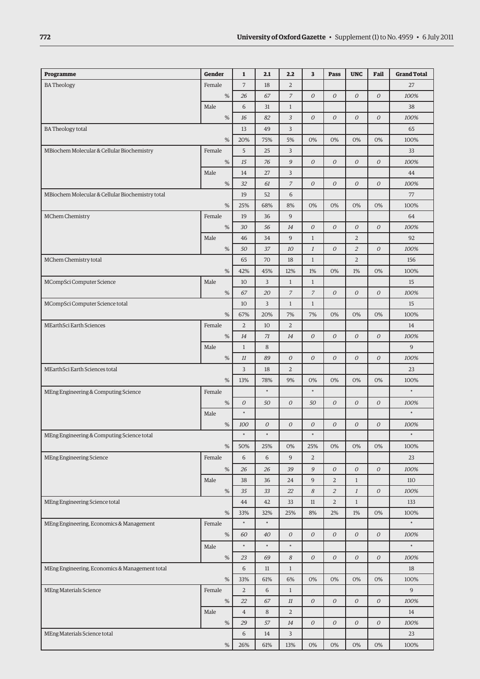| Programme                                        | Gender | $\mathbf 1$      | 2.1              | 2.2              | 3                | Pass             | <b>UNC</b>       | Fail             | <b>Grand Total</b> |
|--------------------------------------------------|--------|------------------|------------------|------------------|------------------|------------------|------------------|------------------|--------------------|
| <b>BA Theology</b>                               | Female | $\overline{7}$   | 18               | $\overline{2}$   |                  |                  |                  |                  | 27                 |
|                                                  | %      | 26               | 67               | $\overline{z}$   | $\overline{O}$   | $\overline{O}$   | $\overline{O}$   | $\cal O$         | 100%               |
|                                                  | Male   | 6                | 31               | $\,1$            |                  |                  |                  |                  | 38                 |
|                                                  | $\%$   | 16               | 82               | $\mathfrak{Z}$   | $\boldsymbol{O}$ | $\boldsymbol{O}$ | $\boldsymbol{O}$ | $\mathcal O$     | 100%               |
| <b>BA</b> Theology total                         |        | 13               | 49               | 3                |                  |                  |                  |                  | 65                 |
|                                                  | %      | 20%              | 75%              | 5%               | 0%               | 0%               | 0%               | 0%               | 100%               |
| MBiochem Molecular & Cellular Biochemistry       | Female | 5                | 25               | 3                |                  |                  |                  |                  | 33                 |
|                                                  | $\%$   | 15               | 76               | 9                | ${\cal O}$       | $\boldsymbol{O}$ | ${\cal O}$       | ${\cal O}$       | 100%               |
|                                                  | Male   | 14               | 27               | 3                |                  |                  |                  |                  | 44                 |
|                                                  | $\%$   | 32               | 61               | $\overline{7}$   | $\boldsymbol{O}$ | $\overline{O}$   | $\mathcal O$     | $\mathcal O$     | 100%               |
| MBiochem Molecular & Cellular Biochemistry total |        | 19               | 52               | 6                |                  |                  |                  |                  | 77                 |
|                                                  | $\%$   | 25%              | 68%              | 8%               | 0%               | 0%               | 0%               | 0%               | 100%               |
| MChem Chemistry                                  | Female | 19               | 36               | 9                |                  |                  |                  |                  | 64                 |
|                                                  | $\%$   | 30               | 56               | 14               | $\boldsymbol{O}$ | $\mathcal O$     | ${\cal O}$       | ${\cal O}$       | 100%               |
|                                                  | Male   | 46               | 34               | 9                | $\mathbf{1}$     |                  | $\overline{2}$   |                  | 92                 |
|                                                  | $\%$   | 50               | 37               | 10               | $\cal I$         | $\cal O$         | $\overline{2}$   | ${\cal O}$       | 100%               |
| MChem Chemistry total                            |        | 65               | 70               | 18               | $\mathbf{1}$     |                  | $\overline{2}$   |                  | 156                |
|                                                  | $\%$   | 42%              | 45%              | 12%              | 1%               | 0%               | 1%               | 0%               | 100%               |
| MCompSci Computer Science                        | Male   | 10               | 3                | $\,1$            | $\mathbf{1}$     |                  |                  |                  | 15                 |
|                                                  | $\%$   | 67               | 20               | $\boldsymbol{7}$ | $\boldsymbol{7}$ | $\mathcal O$     | ${\cal O}$       | ${\cal O}$       | 100%               |
| MCompSci Computer Science total                  |        | 10               | 3                | $\,1$            | $\mathbf{1}$     |                  |                  |                  | 15                 |
|                                                  | %      | 67%              | 20%              | 7%               | 7%               | 0%               | 0%               | 0%               | 100%               |
| MEarthSci Earth Sciences                         | Female | $\overline{2}$   | 10               | $\overline{2}$   |                  |                  |                  |                  | 14                 |
|                                                  | $\%$   | 14               | 71               | 14               | $\overline{O}$   | $\boldsymbol{O}$ | ${\cal O}$       | $\mathcal O$     | 100%               |
|                                                  | Male   | $1\,$            | 8                |                  |                  |                  |                  |                  | 9                  |
|                                                  | $\%$   | 11               | 89               | 0                | $\boldsymbol{O}$ | $\boldsymbol{O}$ | $\mathcal O$     | $\boldsymbol{O}$ | 100%               |
| MEarthSci Earth Sciences total                   |        | 3                | 18               | $\overline{2}$   |                  |                  |                  |                  | 23                 |
|                                                  | $\%$   | 13%              | 78%              | 9%               | 0%               | 0%               | 0%               | 0%               | 100%               |
| MEng Engineering & Computing Science             | Female |                  | $\ast$           |                  | $\ast$           |                  |                  |                  | $\ast$             |
|                                                  | $\%$   | $\boldsymbol{O}$ | 50               | $\cal O$         | 50               | $\cal O$         | ${\cal O}$       | $\boldsymbol{O}$ | 100%               |
|                                                  | Male   | $\ast$           |                  |                  |                  |                  |                  |                  | $\ast$             |
|                                                  | $\%$   | 100              | $\boldsymbol{O}$ | $\cal O$         | $\mathcal O$     | $\boldsymbol{O}$ | $\boldsymbol{O}$ | $\boldsymbol{O}$ | 100%               |
| MEng Engineering & Computing Science total       |        | $\ast$           | $\ast$           |                  | $\ast$           |                  |                  |                  | $\ast$             |
|                                                  | $\%$   | 50%              | 25%              | $0\%$            | 25%              | $0\%$            | 0%               | 0%               | 100%               |
| MEng Engineering Science                         | Female | $\,$ 6 $\,$      | 6                | $\overline{9}$   | $\overline{2}$   |                  |                  |                  | 23                 |
|                                                  | $\%$   | 26               | 26               | 39               | $\mathcal G$     | ${\cal O}$       | ${\cal O}$       | ${\cal O}$       | 100%               |
|                                                  | Male   | 38               | 36               | 24               | $\overline{9}$   | 2                | $\,1$            |                  | $110\,$            |
|                                                  | $\%$   | 35               | 33               | 22               | $\boldsymbol{8}$ | $\overline{a}$   | $\cal I$         | ${\cal O}$       | 100%               |
| MEng Engineering Science total                   |        | 44               | 42               | 33               | 11               | $\overline{2}$   | $\,1$            |                  | 133                |
|                                                  | $\%$   | 33%              | 32%              | 25%              | 8%               | $2\%$            | $1\%$            | 0%               | 100%               |
| MEng Engineering, Economics & Management         | Female | $\ast$           | $\ast$           |                  |                  |                  |                  |                  | $\ast$             |
|                                                  | $\%$   | 60               | 40               | ${\cal O}$       | ${\cal O}$       | ${\cal O}$       | ${\cal O}$       | ${\cal O}$       | 100%               |
|                                                  | Male   | $\ast$           | $\ast$           | $\ast$           |                  |                  |                  |                  | $\ast$             |
|                                                  | $\%$   | 23               | 69               | 8                | ${\cal O}$       | $\mathcal O$     | ${\cal O}$       | ${\cal O}$       | 100%               |
| MEng Engineering, Economics & Management total   |        | $\,$ 6 $\,$      | $11\,$           | $\,1$            |                  |                  |                  |                  | 18                 |
|                                                  | $\%$   | 33%              | 61%              | 6%               | 0%               | 0%               | 0%               | 0%               | 100%               |
| MEng Materials Science                           | Female | $\overline{2}$   | 6                | $1\,$            |                  |                  |                  |                  | $\mathsf 9$        |
|                                                  | $\%$   | 22               | 67               | $11\,$           | ${\cal O}$       | $\mathcal O$     | ${\cal O}$       | ${\cal O}$       | 100%               |
|                                                  | Male   | $\overline{4}$   | 8                | $\overline{2}$   |                  |                  |                  |                  | 14                 |
|                                                  | $\%$   | 29               | 57               | $14\,$           | $\cal O$         | $\mathcal O$     | ${\cal O}$       | ${\cal O}$       | 100%               |
| MEng Materials Science total                     |        | 6                | 14               | 3                |                  |                  |                  |                  | 23                 |
|                                                  | $\%$   | 26%              | 61%              | 13%              | 0%               | $0\%$            | 0%               | 0%               | 100%               |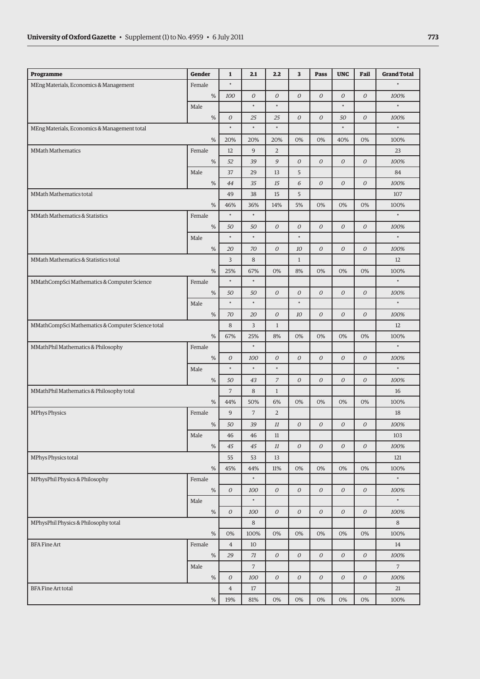| Programme                                         | <b>Gender</b> | $\mathbf{1}$     | 2.1            | 2.2              | 3                | Pass             | <b>UNC</b>   | Fail             | <b>Grand Total</b> |
|---------------------------------------------------|---------------|------------------|----------------|------------------|------------------|------------------|--------------|------------------|--------------------|
| MEng Materials, Economics & Management            | Female        | $\ast$           |                |                  |                  |                  |              |                  | $\ast$             |
|                                                   | $\%$          | 100              | 0              | $\overline{O}$   | $\overline{O}$   | $\overline{O}$   | $\cal O$     | $\cal O$         | 100%               |
|                                                   | Male          |                  | $\ast$         | $\ast$           |                  |                  | $\ast$       |                  | $\ast$             |
|                                                   | $\%$          | $\boldsymbol{O}$ | 25             | 25               | 0                | $\boldsymbol{O}$ | 50           | 0                | 100%               |
| MEng Materials, Economics & Management total      |               | $\ast$           | $\ast$         | $\ast$           |                  |                  | $\ast$       |                  | $\ast$             |
|                                                   | $\%$          | 20%              | 20%            | 20%              | 0%               | 0%               | 40%          | 0%               | 100%               |
| <b>MMath Mathematics</b>                          | Female        | 12               | 9              | $\overline{a}$   |                  |                  |              |                  | 23                 |
|                                                   | $\%$          | 52               | 39             | 9                | $\boldsymbol{O}$ | ${\cal O}$       | $\cal O$     | $\boldsymbol{O}$ | 100%               |
|                                                   | Male          | 37               | 29             | 13               | 5                |                  |              |                  | 84                 |
|                                                   | $\%$          | 44               | 35             | 15               | 6                | $\mathcal O$     | ${\cal O}$   | 0                | 100%               |
| MMath Mathematics total                           |               | 49               | 38             | 15               | 5                |                  |              |                  | 107                |
|                                                   | $\%$          | 46%              | 36%            | 14%              | 5%               | 0%               | 0%           | 0%               | 100%               |
| MMath Mathematics & Statistics                    | Female        | $\ast$           | $\ast$         |                  |                  |                  |              |                  | $\ast$             |
|                                                   | $\%$          | 50               | 50             | $\overline{O}$   | $\overline{O}$   | $\overline{O}$   | ${\cal O}$   | 0                | 100%               |
|                                                   | Male          | $\ast$           | $\ast$         |                  | $\ast$           |                  |              |                  | $\ast$             |
|                                                   | $\%$          | 20               | 70             | $\boldsymbol{O}$ | 10               | 0                | ${\cal O}$   | $\boldsymbol{O}$ | 100%               |
| MMath Mathematics & Statistics total              |               | 3                | 8              |                  | $\mathbf{1}$     |                  |              |                  | 12                 |
|                                                   | $\%$          | 25%              | 67%            | 0%               | 8%               | 0%               | 0%           | 0%               | 100%               |
| MMathCompSci Mathematics & Computer Science       | Female        | $\ast$           | $\ast$         |                  |                  |                  |              |                  | $\ast$             |
|                                                   | $\%$          | 50               | 50             | ${\cal O}$       | ${\cal O}$       | ${\cal O}$       | ${\cal O}$   | $\cal O$         | 100%               |
|                                                   | Male          | $\ast$           | $\ast$         |                  | $\ast$           |                  |              |                  | $\ast$             |
|                                                   | $\%$          | 70               | 20             | $\overline{O}$   | 10               | ${\cal O}$       | ${\cal O}$   | $\cal O$         | 100%               |
| MMathCompSci Mathematics & Computer Science total |               | 8                | 3              | $\mathbf{1}$     |                  |                  |              |                  | 12                 |
|                                                   | $\%$          | 67%              | 25%            | 8%               | 0%               | 0%               | 0%           | 0%               | 100%               |
| MMathPhil Mathematics & Philosophy                | Female        |                  | $\ast$         |                  |                  |                  |              |                  | $\ast$             |
|                                                   | $\%$          | 0                | 100            | $\boldsymbol{O}$ | 0                | $\mathcal O$     | ${\cal O}$   | 0                | 100%               |
|                                                   | Male          | $\ast$           | $\ast$         | $\ast$           |                  |                  |              |                  | $\ast$             |
|                                                   | $\%$          | 50               | 43             | $\overline{7}$   | $\mathcal O$     | $\mathcal O$     | ${\cal O}$   | $\cal O$         | 100%               |
| MMathPhil Mathematics & Philosophy total          |               | $\overline{7}$   | 8              | $1\,$            |                  |                  |              |                  | 16                 |
|                                                   | %             | 44%              | 50%            | 6%               | 0%               | 0%               | 0%           | 0%               | 100%               |
| <b>MPhys Physics</b>                              | Female        | 9                | $\overline{7}$ | $\sqrt{2}$       |                  |                  |              |                  | 18                 |
|                                                   | $\%$          | 50               | 39             | $11\,$           | $\mathcal O$     | $\mathcal O$     | ${\cal O}$   | 0                | 100%               |
|                                                   | Male          | 46               | 46             | 11               |                  |                  |              |                  | 103                |
|                                                   | $\%$          | 45               | 45             | $11\,$           | ${\cal O}$       | $\mathcal O$     | ${\cal O}$   | $\cal O$         | 100%               |
| MPhys Physics total                               |               | 55               | 53             | 13               |                  |                  |              |                  | 121                |
|                                                   | $\%$          | 45%              | 44%            | 11%              | 0%               | 0%               | $0\%$        | 0%               | 100%               |
| MPhysPhil Physics & Philosophy                    | Female        |                  | $\ast$         |                  |                  |                  |              |                  | $\ast$             |
|                                                   | $\%$          | ${\cal O}$       | 100            | ${\cal O}$       | ${\cal O}$       | $\mathcal O$     | ${\cal O}$   | $\cal O$         | 100%               |
|                                                   | Male          |                  | $\ast$         |                  |                  |                  |              |                  | $\ast$             |
|                                                   | $\%$          | ${\cal O}$       | 100            | $\overline{O}$   | $\mathcal{O}$    | $\overline{O}$   | $\mathcal O$ | ${\cal O}$       | 100%               |
| MPhysPhil Physics & Philosophy total              |               |                  | 8              |                  |                  |                  |              |                  | 8                  |
|                                                   | $\%$          | $0\%$            | 100%           | 0%               | 0%               | 0%               | 0%           | $0\%$            | 100%               |
| <b>BFA Fine Art</b>                               | Female        | $\overline{4}$   | 10             |                  |                  |                  |              |                  | 14                 |
|                                                   | $\%$          | 29               | 71             | $\cal O$         | $\mathcal O$     | $\mathcal O$     | ${\cal O}$   | 0                | 100%               |
|                                                   | Male          |                  | $\overline{7}$ |                  |                  |                  |              |                  | $\overline{7}$     |
|                                                   | $\%$          | ${\cal O}$       | 100            | $\boldsymbol{O}$ | $\boldsymbol{O}$ | $\mathcal O$     | ${\cal O}$   | $\boldsymbol{O}$ | 100%               |
| <b>BFA Fine Art total</b>                         |               |                  | 17             |                  |                  |                  |              |                  | 21                 |
|                                                   | $\%$          | 19%              | 81%            | 0%               | 0%               | 0%               | 0%           | 0%               | 100%               |